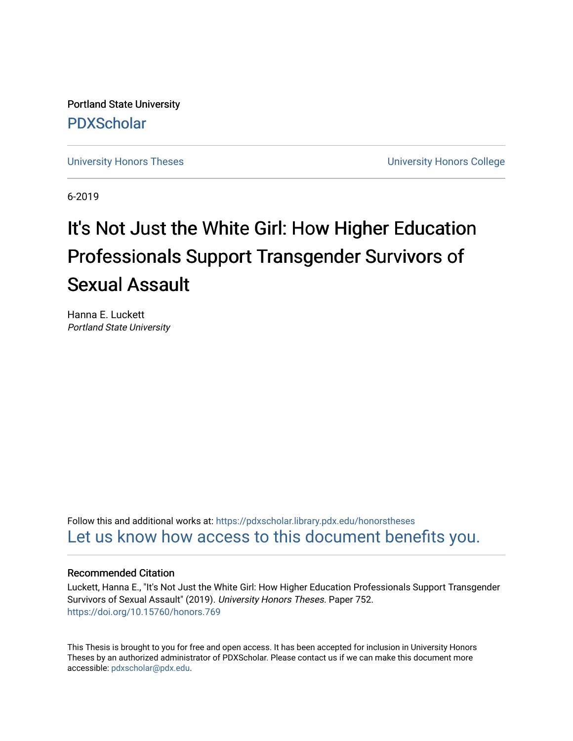Portland State University [PDXScholar](https://pdxscholar.library.pdx.edu/)

[University Honors Theses](https://pdxscholar.library.pdx.edu/honorstheses) **University Honors College** 

6-2019

# It's Not Just the White Girl: How Higher Education Professionals Support Transgender Survivors of Sexual Assault

Hanna E. Luckett Portland State University

Follow this and additional works at: [https://pdxscholar.library.pdx.edu/honorstheses](https://pdxscholar.library.pdx.edu/honorstheses?utm_source=pdxscholar.library.pdx.edu%2Fhonorstheses%2F752&utm_medium=PDF&utm_campaign=PDFCoverPages)  [Let us know how access to this document benefits you.](http://library.pdx.edu/services/pdxscholar-services/pdxscholar-feedback/) 

#### Recommended Citation

Luckett, Hanna E., "It's Not Just the White Girl: How Higher Education Professionals Support Transgender Survivors of Sexual Assault" (2019). University Honors Theses. Paper 752. <https://doi.org/10.15760/honors.769>

This Thesis is brought to you for free and open access. It has been accepted for inclusion in University Honors Theses by an authorized administrator of PDXScholar. Please contact us if we can make this document more accessible: [pdxscholar@pdx.edu.](mailto:pdxscholar@pdx.edu)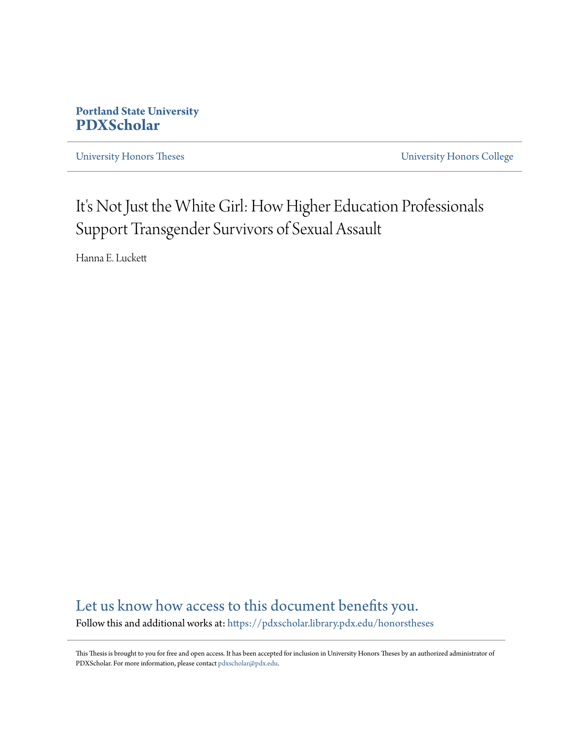# **Portland State University [PDXScholar](https://pdxscholar.library.pdx.edu?utm_source=pdxscholar.library.pdx.edu%2Fhonorstheses%2F1&utm_medium=PDF&utm_campaign=PDFCoverPages)**

[University Honors Theses](https://pdxscholar.library.pdx.edu/honorstheses?utm_source=pdxscholar.library.pdx.edu%2Fhonorstheses%2F1&utm_medium=PDF&utm_campaign=PDFCoverPages) [University Honors College](https://pdxscholar.library.pdx.edu/honors?utm_source=pdxscholar.library.pdx.edu%2Fhonorstheses%2F1&utm_medium=PDF&utm_campaign=PDFCoverPages)

# It's Not Just the White Girl: How Higher Education Professionals Support Transgender Survivors of Sexual Assault

Hanna E. Luckett

[Let us know how access to this document benefits you.](http://library.pdx.edu/services/pdxscholar-services/pdxscholar-feedback/) Follow this and additional works at: [https://pdxscholar.library.pdx.edu/honorstheses](https://pdxscholar.library.pdx.edu/honorstheses?utm_source=pdxscholar.library.pdx.edu%2Fhonorstheses%2F1&utm_medium=PDF&utm_campaign=PDFCoverPages)

This Thesis is brought to you for free and open access. It has been accepted for inclusion in University Honors Theses by an authorized administrator of PDXScholar. For more information, please contact [pdxscholar@pdx.edu.](mailto:pdxscholar@pdx.edu)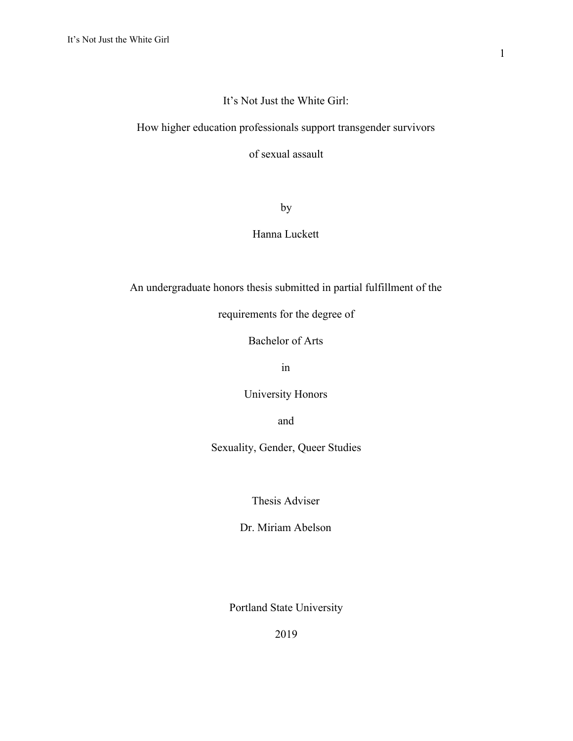## It's Not Just the White Girl:

# How higher education professionals support transgender survivors

of sexual assault

by

# Hanna Luckett

An undergraduate honors thesis submitted in partial fulfillment of the

requirements for the degree of

Bachelor of Arts

in

University Honors

and

Sexuality, Gender, Queer Studies

Thesis Adviser

Dr. Miriam Abelson

Portland State University

2019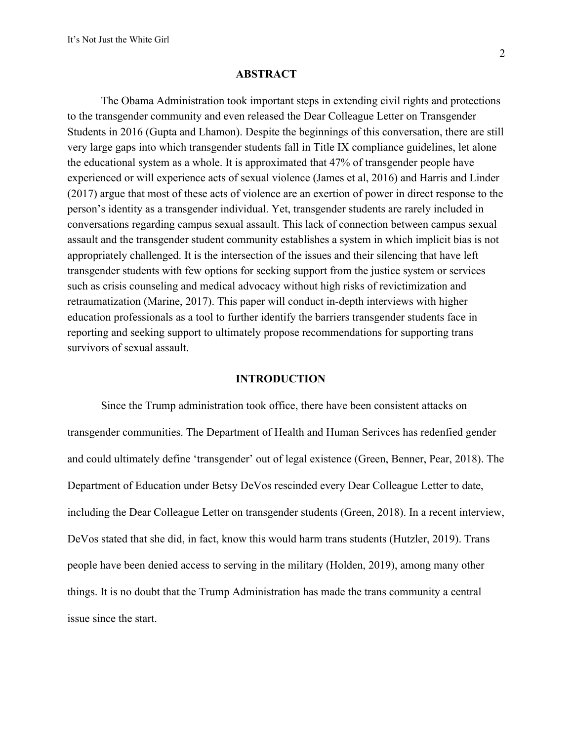#### **ABSTRACT**

The Obama Administration took important steps in extending civil rights and protections to the transgender community and even released the Dear Colleague Letter on Transgender Students in 2016 (Gupta and Lhamon). Despite the beginnings of this conversation, there are still very large gaps into which transgender students fall in Title IX compliance guidelines, let alone the educational system as a whole. It is approximated that 47% of transgender people have experienced or will experience acts of sexual violence (James et al, 2016) and Harris and Linder (2017) argue that most of these acts of violence are an exertion of power in direct response to the person's identity as a transgender individual. Yet, transgender students are rarely included in conversations regarding campus sexual assault. This lack of connection between campus sexual assault and the transgender student community establishes a system in which implicit bias is not appropriately challenged. It is the intersection of the issues and their silencing that have left transgender students with few options for seeking support from the justice system or services such as crisis counseling and medical advocacy without high risks of revictimization and retraumatization (Marine, 2017). This paper will conduct in-depth interviews with higher education professionals as a tool to further identify the barriers transgender students face in reporting and seeking support to ultimately propose recommendations for supporting trans survivors of sexual assault.

#### **INTRODUCTION**

Since the Trump administration took office, there have been consistent attacks on transgender communities. The Department of Health and Human Serivces has redenfied gender and could ultimately define 'transgender' out of legal existence (Green, Benner, Pear, 2018). The Department of Education under Betsy DeVos rescinded every Dear Colleague Letter to date, including the Dear Colleague Letter on transgender students (Green, 2018). In a recent interview, DeVos stated that she did, in fact, know this would harm trans students (Hutzler, 2019). Trans people have been denied access to serving in the military (Holden, 2019), among many other things. It is no doubt that the Trump Administration has made the trans community a central issue since the start.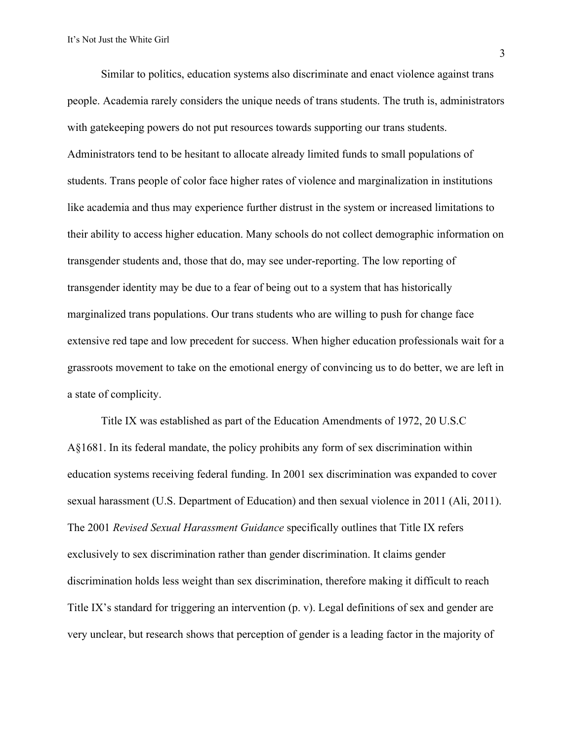Similar to politics, education systems also discriminate and enact violence against trans people. Academia rarely considers the unique needs of trans students. The truth is, administrators with gatekeeping powers do not put resources towards supporting our trans students. Administrators tend to be hesitant to allocate already limited funds to small populations of students. Trans people of color face higher rates of violence and marginalization in institutions like academia and thus may experience further distrust in the system or increased limitations to their ability to access higher education. Many schools do not collect demographic information on transgender students and, those that do, may see under-reporting. The low reporting of transgender identity may be due to a fear of being out to a system that has historically marginalized trans populations. Our trans students who are willing to push for change face extensive red tape and low precedent for success. When higher education professionals wait for a grassroots movement to take on the emotional energy of convincing us to do better, we are left in a state of complicity.

Title IX was established as part of the Education Amendments of 1972, 20 U.S.C A§1681. In its federal mandate, the policy prohibits any form of sex discrimination within education systems receiving federal funding. In 2001 sex discrimination was expanded to cover sexual harassment (U.S. Department of Education) and then sexual violence in 2011 (Ali, 2011). The 2001 *Revised Sexual Harassment Guidance* specifically outlines that Title IX refers exclusively to sex discrimination rather than gender discrimination. It claims gender discrimination holds less weight than sex discrimination, therefore making it difficult to reach Title IX's standard for triggering an intervention (p. v). Legal definitions of sex and gender are very unclear, but research shows that perception of gender is a leading factor in the majority of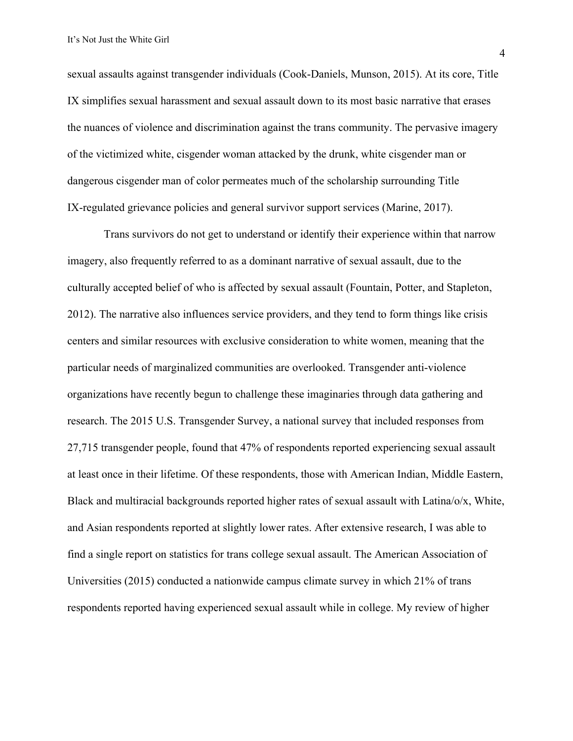sexual assaults against transgender individuals (Cook-Daniels, Munson, 2015). At its core, Title IX simplifies sexual harassment and sexual assault down to its most basic narrative that erases the nuances of violence and discrimination against the trans community. The pervasive imagery of the victimized white, cisgender woman attacked by the drunk, white cisgender man or dangerous cisgender man of color permeates much of the scholarship surrounding Title IX-regulated grievance policies and general survivor support services (Marine, 2017).

 Trans survivors do not get to understand or identify their experience within that narrow imagery, also frequently referred to as a dominant narrative of sexual assault, due to the culturally accepted belief of who is affected by sexual assault (Fountain, Potter, and Stapleton, 2012). The narrative also influences service providers, and they tend to form things like crisis centers and similar resources with exclusive consideration to white women, meaning that the particular needs of marginalized communities are overlooked. Transgender anti-violence organizations have recently begun to challenge these imaginaries through data gathering and research. The 2015 U.S. Transgender Survey, a national survey that included responses from 27,715 transgender people, found that 47% of respondents reported experiencing sexual assault at least once in their lifetime. Of these respondents, those with American Indian, Middle Eastern, Black and multiracial backgrounds reported higher rates of sexual assault with Latina/o/x, White, and Asian respondents reported at slightly lower rates. After extensive research, I was able to find a single report on statistics for trans college sexual assault. The American Association of Universities (2015) conducted a nationwide campus climate survey in which 21% of trans respondents reported having experienced sexual assault while in college. My review of higher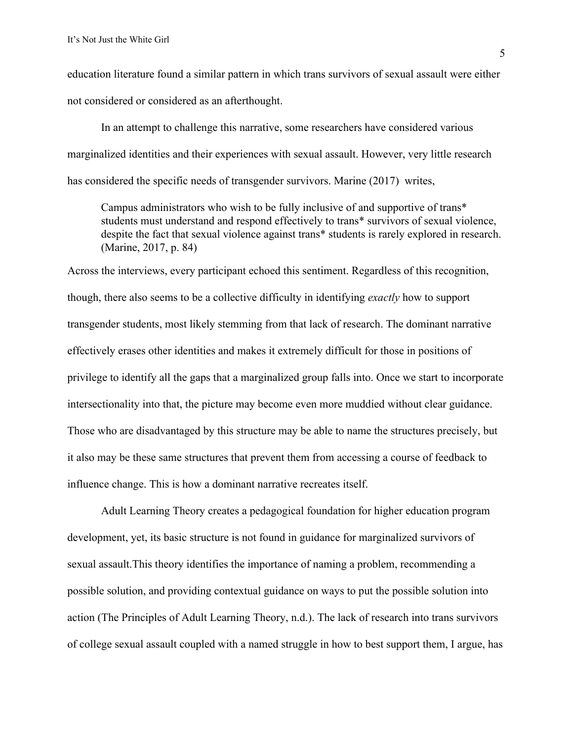education literature found a similar pattern in which trans survivors of sexual assault were either not considered or considered as an afterthought.

In an attempt to challenge this narrative, some researchers have considered various marginalized identities and their experiences with sexual assault. However, very little research has considered the specific needs of transgender survivors. Marine (2017) writes,

Campus administrators who wish to be fully inclusive of and supportive of trans\* students must understand and respond effectively to trans\* survivors of sexual violence, despite the fact that sexual violence against trans\* students is rarely explored in research. (Marine, 2017, p. 84)

Across the interviews, every participant echoed this sentiment. Regardless of this recognition, though, there also seems to be a collective difficulty in identifying *exactly* how to support transgender students, most likely stemming from that lack of research. The dominant narrative effectively erases other identities and makes it extremely difficult for those in positions of privilege to identify all the gaps that a marginalized group falls into. Once we start to incorporate intersectionality into that, the picture may become even more muddied without clear guidance. Those who are disadvantaged by this structure may be able to name the structures precisely, but it also may be these same structures that prevent them from accessing a course of feedback to influence change. This is how a dominant narrative recreates itself.

Adult Learning Theory creates a pedagogical foundation for higher education program development, yet, its basic structure is not found in guidance for marginalized survivors of sexual assault.This theory identifies the importance of naming a problem, recommending a possible solution, and providing contextual guidance on ways to put the possible solution into action (The Principles of Adult Learning Theory, n.d.). The lack of research into trans survivors of college sexual assault coupled with a named struggle in how to best support them, I argue, has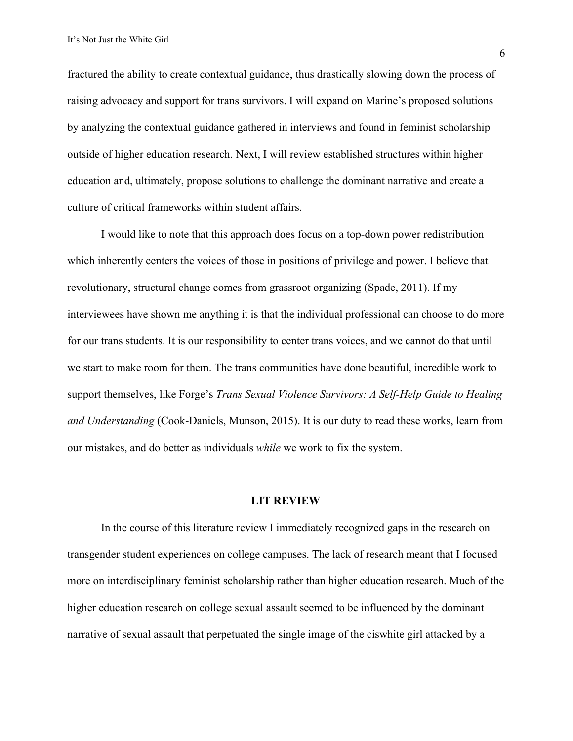fractured the ability to create contextual guidance, thus drastically slowing down the process of raising advocacy and support for trans survivors. I will expand on Marine's proposed solutions by analyzing the contextual guidance gathered in interviews and found in feminist scholarship outside of higher education research. Next, I will review established structures within higher education and, ultimately, propose solutions to challenge the dominant narrative and create a culture of critical frameworks within student affairs.

I would like to note that this approach does focus on a top-down power redistribution which inherently centers the voices of those in positions of privilege and power. I believe that revolutionary, structural change comes from grassroot organizing (Spade, 2011). If my interviewees have shown me anything it is that the individual professional can choose to do more for our trans students. It is our responsibility to center trans voices, and we cannot do that until we start to make room for them. The trans communities have done beautiful, incredible work to support themselves, like Forge's *Trans Sexual Violence Survivors: A Self-Help Guide to Healing and Understanding* (Cook-Daniels, Munson, 2015). It is our duty to read these works, learn from our mistakes, and do better as individuals *while* we work to fix the system.

#### **LIT REVIEW**

In the course of this literature review I immediately recognized gaps in the research on transgender student experiences on college campuses. The lack of research meant that I focused more on interdisciplinary feminist scholarship rather than higher education research. Much of the higher education research on college sexual assault seemed to be influenced by the dominant narrative of sexual assault that perpetuated the single image of the ciswhite girl attacked by a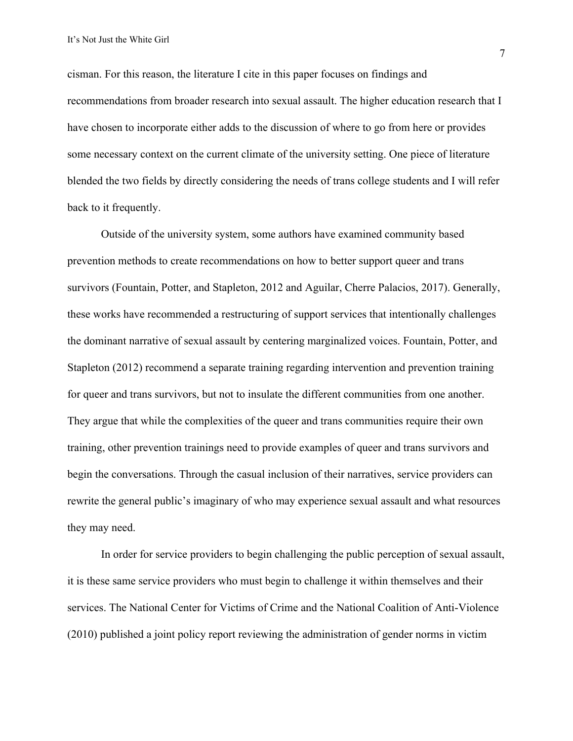cisman. For this reason, the literature I cite in this paper focuses on findings and recommendations from broader research into sexual assault. The higher education research that I have chosen to incorporate either adds to the discussion of where to go from here or provides some necessary context on the current climate of the university setting. One piece of literature blended the two fields by directly considering the needs of trans college students and I will refer back to it frequently.

Outside of the university system, some authors have examined community based prevention methods to create recommendations on how to better support queer and trans survivors (Fountain, Potter, and Stapleton, 2012 and Aguilar, Cherre Palacios, 2017). Generally, these works have recommended a restructuring of support services that intentionally challenges the dominant narrative of sexual assault by centering marginalized voices. Fountain, Potter, and Stapleton (2012) recommend a separate training regarding intervention and prevention training for queer and trans survivors, but not to insulate the different communities from one another. They argue that while the complexities of the queer and trans communities require their own training, other prevention trainings need to provide examples of queer and trans survivors and begin the conversations. Through the casual inclusion of their narratives, service providers can rewrite the general public's imaginary of who may experience sexual assault and what resources they may need.

In order for service providers to begin challenging the public perception of sexual assault, it is these same service providers who must begin to challenge it within themselves and their services. The National Center for Victims of Crime and the National Coalition of Anti-Violence (2010) published a joint policy report reviewing the administration of gender norms in victim

7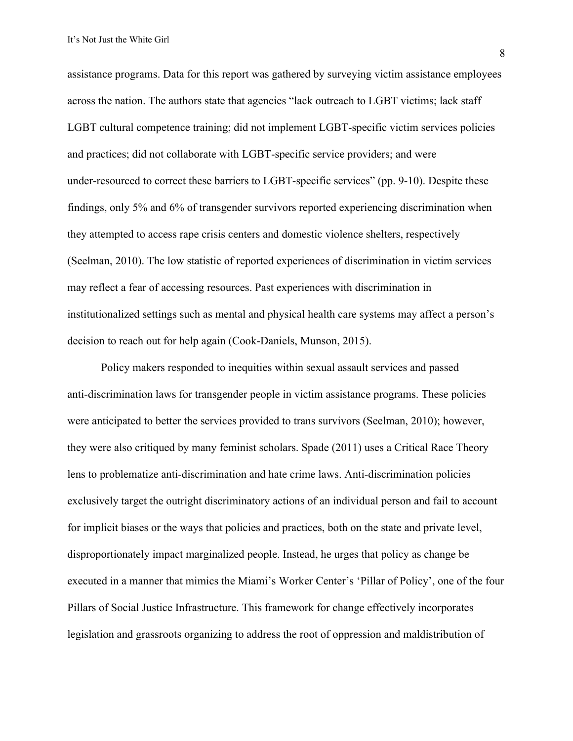assistance programs. Data for this report was gathered by surveying victim assistance employees across the nation. The authors state that agencies "lack outreach to LGBT victims; lack staff LGBT cultural competence training; did not implement LGBT-specific victim services policies and practices; did not collaborate with LGBT-specific service providers; and were under-resourced to correct these barriers to LGBT-specific services" (pp. 9-10). Despite these findings, only 5% and 6% of transgender survivors reported experiencing discrimination when they attempted to access rape crisis centers and domestic violence shelters, respectively (Seelman, 2010). The low statistic of reported experiences of discrimination in victim services may reflect a fear of accessing resources. Past experiences with discrimination in institutionalized settings such as mental and physical health care systems may affect a person's decision to reach out for help again (Cook-Daniels, Munson, 2015).

Policy makers responded to inequities within sexual assault services and passed anti-discrimination laws for transgender people in victim assistance programs. These policies were anticipated to better the services provided to trans survivors (Seelman, 2010); however, they were also critiqued by many feminist scholars. Spade (2011) uses a Critical Race Theory lens to problematize anti-discrimination and hate crime laws. Anti-discrimination policies exclusively target the outright discriminatory actions of an individual person and fail to account for implicit biases or the ways that policies and practices, both on the state and private level, disproportionately impact marginalized people. Instead, he urges that policy as change be executed in a manner that mimics the Miami's Worker Center's 'Pillar of Policy', one of the four Pillars of Social Justice Infrastructure. This framework for change effectively incorporates legislation and grassroots organizing to address the root of oppression and maldistribution of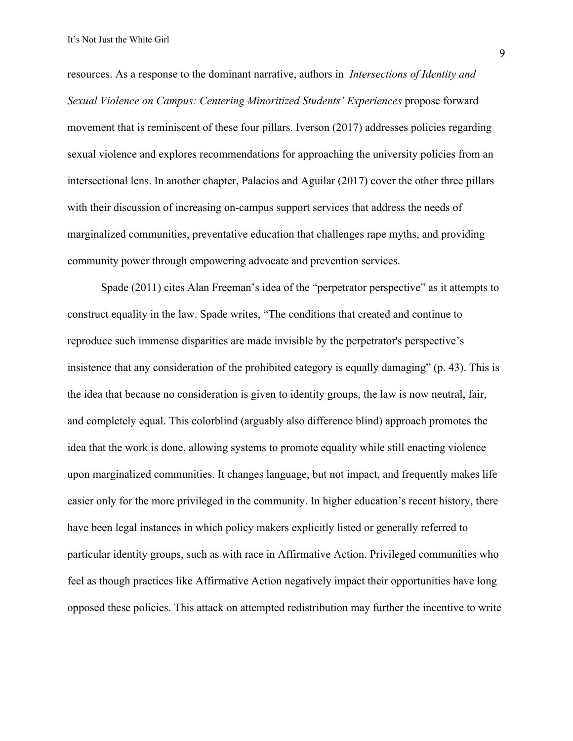resources. As a response to the dominant narrative, authors in *Intersections of Identity and Sexual Violence on Campus: Centering Minoritized Students' Experiences* propose forward movement that is reminiscent of these four pillars. Iverson (2017) addresses policies regarding sexual violence and explores recommendations for approaching the university policies from an intersectional lens. In another chapter, Palacios and Aguilar (2017) cover the other three pillars with their discussion of increasing on-campus support services that address the needs of marginalized communities, preventative education that challenges rape myths, and providing community power through empowering advocate and prevention services.

Spade (2011) cites Alan Freeman's idea of the "perpetrator perspective" as it attempts to construct equality in the law. Spade writes, "The conditions that created and continue to reproduce such immense disparities are made invisible by the perpetrator's perspective's insistence that any consideration of the prohibited category is equally damaging" (p. 43). This is the idea that because no consideration is given to identity groups, the law is now neutral, fair, and completely equal. This colorblind (arguably also difference blind) approach promotes the idea that the work is done, allowing systems to promote equality while still enacting violence upon marginalized communities. It changes language, but not impact, and frequently makes life easier only for the more privileged in the community. In higher education's recent history, there have been legal instances in which policy makers explicitly listed or generally referred to particular identity groups, such as with race in Affirmative Action. Privileged communities who feel as though practices like Affirmative Action negatively impact their opportunities have long opposed these policies. This attack on attempted redistribution may further the incentive to write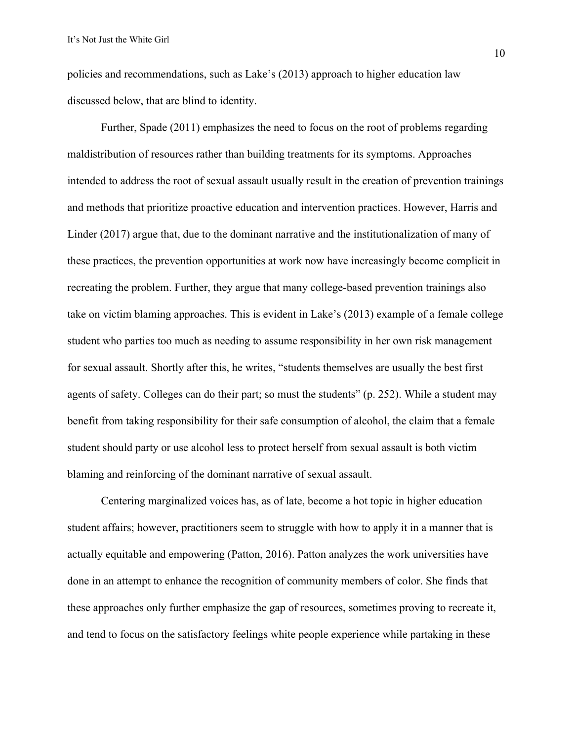policies and recommendations, such as Lake's (2013) approach to higher education law discussed below, that are blind to identity.

Further, Spade (2011) emphasizes the need to focus on the root of problems regarding maldistribution of resources rather than building treatments for its symptoms. Approaches intended to address the root of sexual assault usually result in the creation of prevention trainings and methods that prioritize proactive education and intervention practices. However, Harris and Linder (2017) argue that, due to the dominant narrative and the institutionalization of many of these practices, the prevention opportunities at work now have increasingly become complicit in recreating the problem. Further, they argue that many college-based prevention trainings also take on victim blaming approaches. This is evident in Lake's (2013) example of a female college student who parties too much as needing to assume responsibility in her own risk management for sexual assault. Shortly after this, he writes, "students themselves are usually the best first agents of safety. Colleges can do their part; so must the students" (p. 252). While a student may benefit from taking responsibility for their safe consumption of alcohol, the claim that a female student should party or use alcohol less to protect herself from sexual assault is both victim blaming and reinforcing of the dominant narrative of sexual assault.

Centering marginalized voices has, as of late, become a hot topic in higher education student affairs; however, practitioners seem to struggle with how to apply it in a manner that is actually equitable and empowering (Patton, 2016). Patton analyzes the work universities have done in an attempt to enhance the recognition of community members of color. She finds that these approaches only further emphasize the gap of resources, sometimes proving to recreate it, and tend to focus on the satisfactory feelings white people experience while partaking in these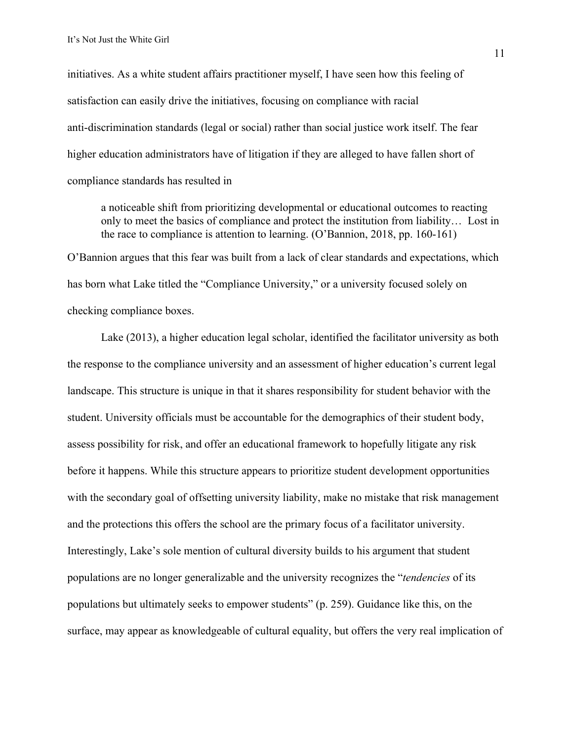initiatives. As a white student affairs practitioner myself, I have seen how this feeling of satisfaction can easily drive the initiatives, focusing on compliance with racial anti-discrimination standards (legal or social) rather than social justice work itself. The fear higher education administrators have of litigation if they are alleged to have fallen short of compliance standards has resulted in

a noticeable shift from prioritizing developmental or educational outcomes to reacting only to meet the basics of compliance and protect the institution from liability… Lost in the race to compliance is attention to learning. (O'Bannion, 2018, pp. 160-161) O'Bannion argues that this fear was built from a lack of clear standards and expectations, which has born what Lake titled the "Compliance University," or a university focused solely on checking compliance boxes.

Lake (2013), a higher education legal scholar, identified the facilitator university as both the response to the compliance university and an assessment of higher education's current legal landscape. This structure is unique in that it shares responsibility for student behavior with the student. University officials must be accountable for the demographics of their student body, assess possibility for risk, and offer an educational framework to hopefully litigate any risk before it happens. While this structure appears to prioritize student development opportunities with the secondary goal of offsetting university liability, make no mistake that risk management and the protections this offers the school are the primary focus of a facilitator university. Interestingly, Lake's sole mention of cultural diversity builds to his argument that student populations are no longer generalizable and the university recognizes the "*tendencies* of its populations but ultimately seeks to empower students" (p. 259). Guidance like this, on the surface, may appear as knowledgeable of cultural equality, but offers the very real implication of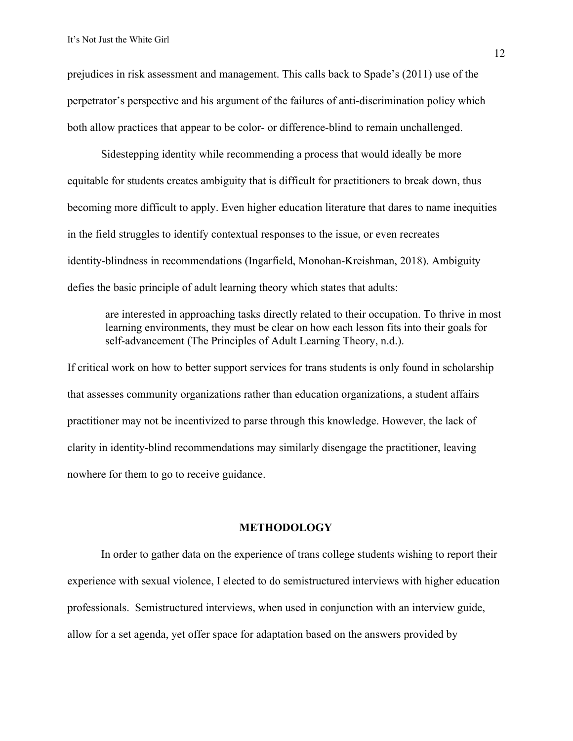prejudices in risk assessment and management. This calls back to Spade's (2011) use of the perpetrator's perspective and his argument of the failures of anti-discrimination policy which both allow practices that appear to be color- or difference-blind to remain unchallenged.

Sidestepping identity while recommending a process that would ideally be more equitable for students creates ambiguity that is difficult for practitioners to break down, thus becoming more difficult to apply. Even higher education literature that dares to name inequities in the field struggles to identify contextual responses to the issue, or even recreates identity-blindness in recommendations (Ingarfield, Monohan-Kreishman, 2018). Ambiguity defies the basic principle of adult learning theory which states that adults:

are interested in approaching tasks directly related to their occupation. To thrive in most learning environments, they must be clear on how each lesson fits into their goals for self-advancement (The Principles of Adult Learning Theory, n.d.).

If critical work on how to better support services for trans students is only found in scholarship that assesses community organizations rather than education organizations, a student affairs practitioner may not be incentivized to parse through this knowledge. However, the lack of clarity in identity-blind recommendations may similarly disengage the practitioner, leaving nowhere for them to go to receive guidance.

#### **METHODOLOGY**

In order to gather data on the experience of trans college students wishing to report their experience with sexual violence, I elected to do semistructured interviews with higher education professionals. Semistructured interviews, when used in conjunction with an interview guide, allow for a set agenda, yet offer space for adaptation based on the answers provided by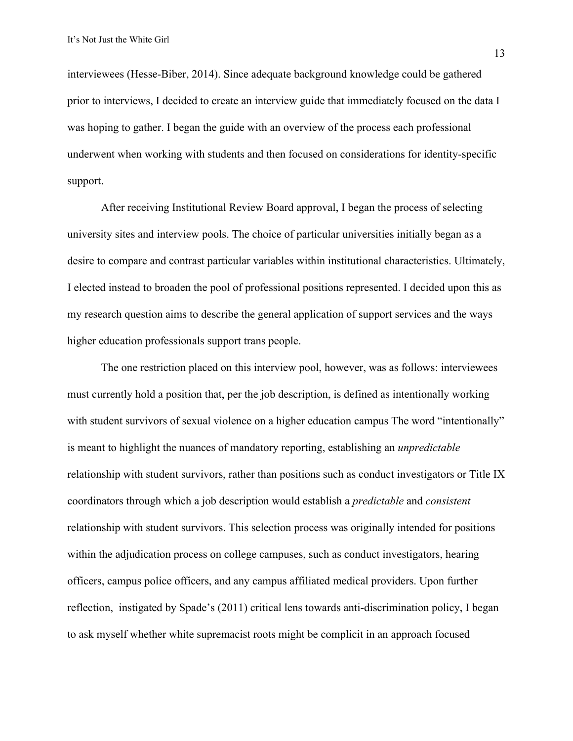interviewees (Hesse-Biber, 2014). Since adequate background knowledge could be gathered prior to interviews, I decided to create an interview guide that immediately focused on the data I was hoping to gather. I began the guide with an overview of the process each professional underwent when working with students and then focused on considerations for identity-specific support.

After receiving Institutional Review Board approval, I began the process of selecting university sites and interview pools. The choice of particular universities initially began as a desire to compare and contrast particular variables within institutional characteristics. Ultimately, I elected instead to broaden the pool of professional positions represented. I decided upon this as my research question aims to describe the general application of support services and the ways higher education professionals support trans people.

The one restriction placed on this interview pool, however, was as follows: interviewees must currently hold a position that, per the job description, is defined as intentionally working with student survivors of sexual violence on a higher education campus The word "intentionally" is meant to highlight the nuances of mandatory reporting, establishing an *unpredictable* relationship with student survivors, rather than positions such as conduct investigators or Title IX coordinators through which a job description would establish a *predictable* and *consistent* relationship with student survivors. This selection process was originally intended for positions within the adjudication process on college campuses, such as conduct investigators, hearing officers, campus police officers, and any campus affiliated medical providers. Upon further reflection, instigated by Spade's (2011) critical lens towards anti-discrimination policy, I began to ask myself whether white supremacist roots might be complicit in an approach focused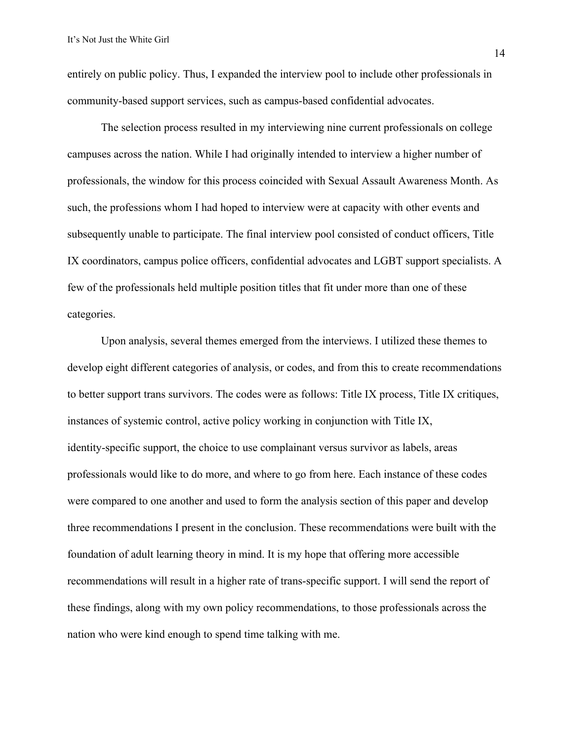entirely on public policy. Thus, I expanded the interview pool to include other professionals in community-based support services, such as campus-based confidential advocates.

The selection process resulted in my interviewing nine current professionals on college campuses across the nation. While I had originally intended to interview a higher number of professionals, the window for this process coincided with Sexual Assault Awareness Month. As such, the professions whom I had hoped to interview were at capacity with other events and subsequently unable to participate. The final interview pool consisted of conduct officers, Title IX coordinators, campus police officers, confidential advocates and LGBT support specialists. A few of the professionals held multiple position titles that fit under more than one of these categories.

Upon analysis, several themes emerged from the interviews. I utilized these themes to develop eight different categories of analysis, or codes, and from this to create recommendations to better support trans survivors. The codes were as follows: Title IX process, Title IX critiques, instances of systemic control, active policy working in conjunction with Title IX, identity-specific support, the choice to use complainant versus survivor as labels, areas professionals would like to do more, and where to go from here. Each instance of these codes were compared to one another and used to form the analysis section of this paper and develop three recommendations I present in the conclusion. These recommendations were built with the foundation of adult learning theory in mind. It is my hope that offering more accessible recommendations will result in a higher rate of trans-specific support. I will send the report of these findings, along with my own policy recommendations, to those professionals across the nation who were kind enough to spend time talking with me.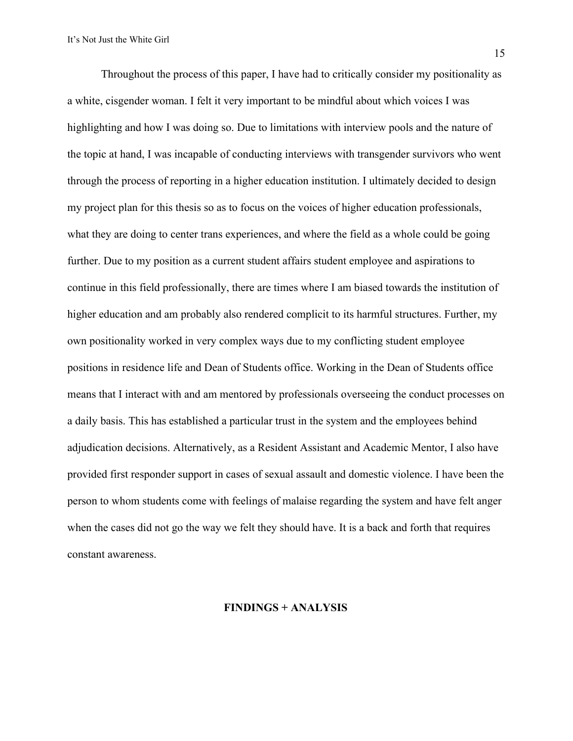Throughout the process of this paper, I have had to critically consider my positionality as a white, cisgender woman. I felt it very important to be mindful about which voices I was highlighting and how I was doing so. Due to limitations with interview pools and the nature of the topic at hand, I was incapable of conducting interviews with transgender survivors who went through the process of reporting in a higher education institution. I ultimately decided to design my project plan for this thesis so as to focus on the voices of higher education professionals, what they are doing to center trans experiences, and where the field as a whole could be going further. Due to my position as a current student affairs student employee and aspirations to continue in this field professionally, there are times where I am biased towards the institution of higher education and am probably also rendered complicit to its harmful structures. Further, my own positionality worked in very complex ways due to my conflicting student employee positions in residence life and Dean of Students office. Working in the Dean of Students office means that I interact with and am mentored by professionals overseeing the conduct processes on a daily basis. This has established a particular trust in the system and the employees behind adjudication decisions. Alternatively, as a Resident Assistant and Academic Mentor, I also have provided first responder support in cases of sexual assault and domestic violence. I have been the person to whom students come with feelings of malaise regarding the system and have felt anger when the cases did not go the way we felt they should have. It is a back and forth that requires constant awareness.

#### **FINDINGS + ANALYSIS**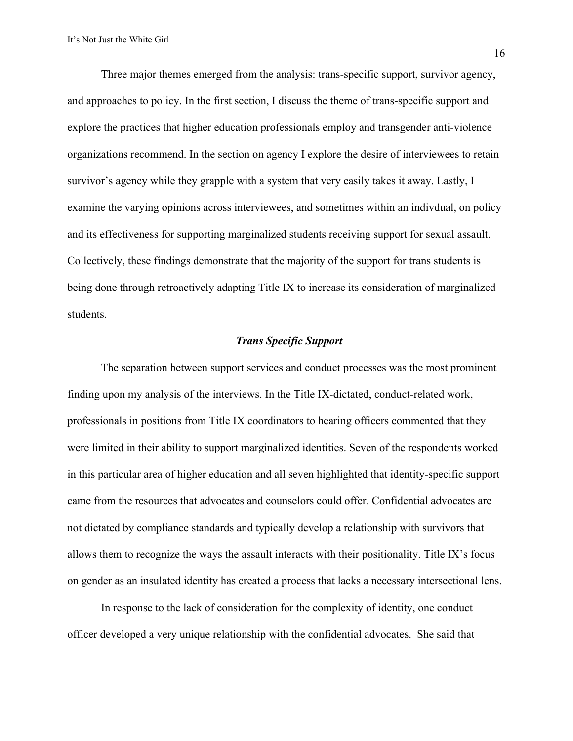Three major themes emerged from the analysis: trans-specific support, survivor agency, and approaches to policy. In the first section, I discuss the theme of trans-specific support and explore the practices that higher education professionals employ and transgender anti-violence organizations recommend. In the section on agency I explore the desire of interviewees to retain survivor's agency while they grapple with a system that very easily takes it away. Lastly, I examine the varying opinions across interviewees, and sometimes within an indivdual, on policy and its effectiveness for supporting marginalized students receiving support for sexual assault. Collectively, these findings demonstrate that the majority of the support for trans students is being done through retroactively adapting Title IX to increase its consideration of marginalized students.

#### *Trans Specific Support*

The separation between support services and conduct processes was the most prominent finding upon my analysis of the interviews. In the Title IX-dictated, conduct-related work, professionals in positions from Title IX coordinators to hearing officers commented that they were limited in their ability to support marginalized identities. Seven of the respondents worked in this particular area of higher education and all seven highlighted that identity-specific support came from the resources that advocates and counselors could offer. Confidential advocates are not dictated by compliance standards and typically develop a relationship with survivors that allows them to recognize the ways the assault interacts with their positionality. Title IX's focus on gender as an insulated identity has created a process that lacks a necessary intersectional lens.

In response to the lack of consideration for the complexity of identity, one conduct officer developed a very unique relationship with the confidential advocates. She said that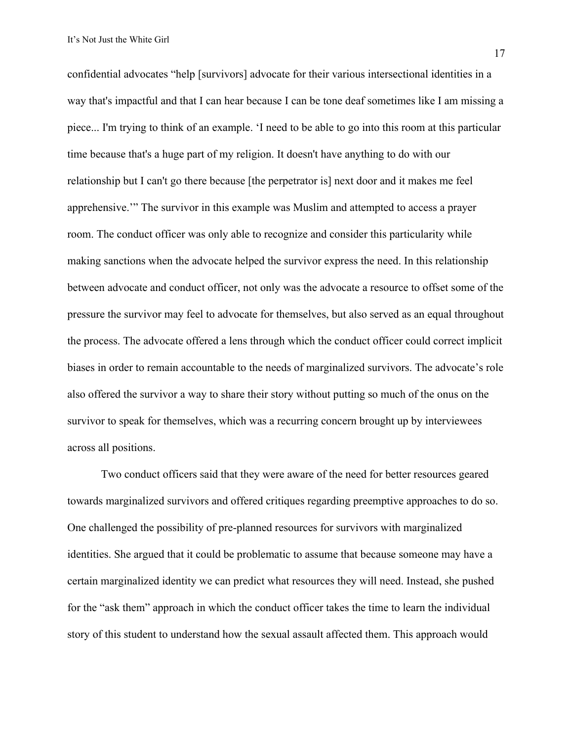confidential advocates "help [survivors] advocate for their various intersectional identities in a way that's impactful and that I can hear because I can be tone deaf sometimes like I am missing a piece... I'm trying to think of an example. 'I need to be able to go into this room at this particular time because that's a huge part of my religion. It doesn't have anything to do with our relationship but I can't go there because [the perpetrator is] next door and it makes me feel apprehensive.'" The survivor in this example was Muslim and attempted to access a prayer room. The conduct officer was only able to recognize and consider this particularity while making sanctions when the advocate helped the survivor express the need. In this relationship between advocate and conduct officer, not only was the advocate a resource to offset some of the pressure the survivor may feel to advocate for themselves, but also served as an equal throughout the process. The advocate offered a lens through which the conduct officer could correct implicit biases in order to remain accountable to the needs of marginalized survivors. The advocate's role also offered the survivor a way to share their story without putting so much of the onus on the survivor to speak for themselves, which was a recurring concern brought up by interviewees across all positions.

Two conduct officers said that they were aware of the need for better resources geared towards marginalized survivors and offered critiques regarding preemptive approaches to do so. One challenged the possibility of pre-planned resources for survivors with marginalized identities. She argued that it could be problematic to assume that because someone may have a certain marginalized identity we can predict what resources they will need. Instead, she pushed for the "ask them" approach in which the conduct officer takes the time to learn the individual story of this student to understand how the sexual assault affected them. This approach would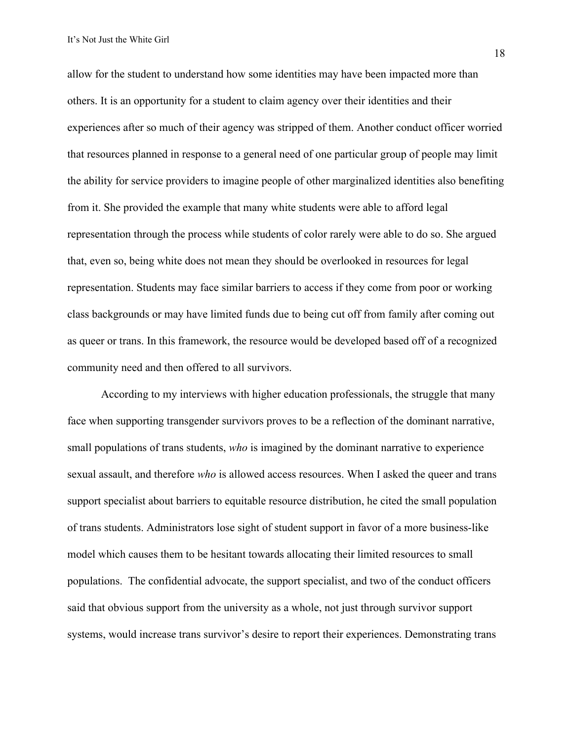allow for the student to understand how some identities may have been impacted more than others. It is an opportunity for a student to claim agency over their identities and their experiences after so much of their agency was stripped of them. Another conduct officer worried that resources planned in response to a general need of one particular group of people may limit the ability for service providers to imagine people of other marginalized identities also benefiting from it. She provided the example that many white students were able to afford legal representation through the process while students of color rarely were able to do so. She argued that, even so, being white does not mean they should be overlooked in resources for legal representation. Students may face similar barriers to access if they come from poor or working class backgrounds or may have limited funds due to being cut off from family after coming out as queer or trans. In this framework, the resource would be developed based off of a recognized community need and then offered to all survivors.

According to my interviews with higher education professionals, the struggle that many face when supporting transgender survivors proves to be a reflection of the dominant narrative, small populations of trans students, *who* is imagined by the dominant narrative to experience sexual assault, and therefore *who* is allowed access resources. When I asked the queer and trans support specialist about barriers to equitable resource distribution, he cited the small population of trans students. Administrators lose sight of student support in favor of a more business-like model which causes them to be hesitant towards allocating their limited resources to small populations. The confidential advocate, the support specialist, and two of the conduct officers said that obvious support from the university as a whole, not just through survivor support systems, would increase trans survivor's desire to report their experiences. Demonstrating trans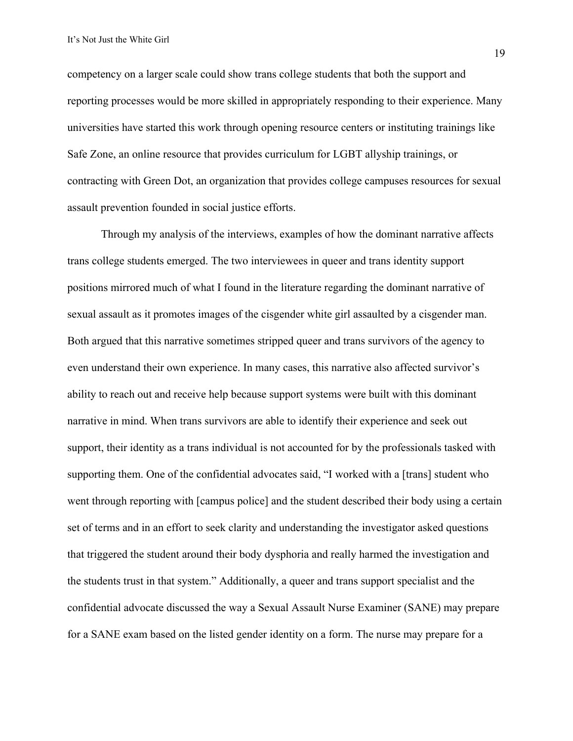competency on a larger scale could show trans college students that both the support and reporting processes would be more skilled in appropriately responding to their experience. Many universities have started this work through opening resource centers or instituting trainings like Safe Zone, an online resource that provides curriculum for LGBT allyship trainings, or contracting with Green Dot, an organization that provides college campuses resources for sexual assault prevention founded in social justice efforts.

Through my analysis of the interviews, examples of how the dominant narrative affects trans college students emerged. The two interviewees in queer and trans identity support positions mirrored much of what I found in the literature regarding the dominant narrative of sexual assault as it promotes images of the cisgender white girl assaulted by a cisgender man. Both argued that this narrative sometimes stripped queer and trans survivors of the agency to even understand their own experience. In many cases, this narrative also affected survivor's ability to reach out and receive help because support systems were built with this dominant narrative in mind. When trans survivors are able to identify their experience and seek out support, their identity as a trans individual is not accounted for by the professionals tasked with supporting them. One of the confidential advocates said, "I worked with a [trans] student who went through reporting with [campus police] and the student described their body using a certain set of terms and in an effort to seek clarity and understanding the investigator asked questions that triggered the student around their body dysphoria and really harmed the investigation and the students trust in that system." Additionally, a queer and trans support specialist and the confidential advocate discussed the way a Sexual Assault Nurse Examiner (SANE) may prepare for a SANE exam based on the listed gender identity on a form. The nurse may prepare for a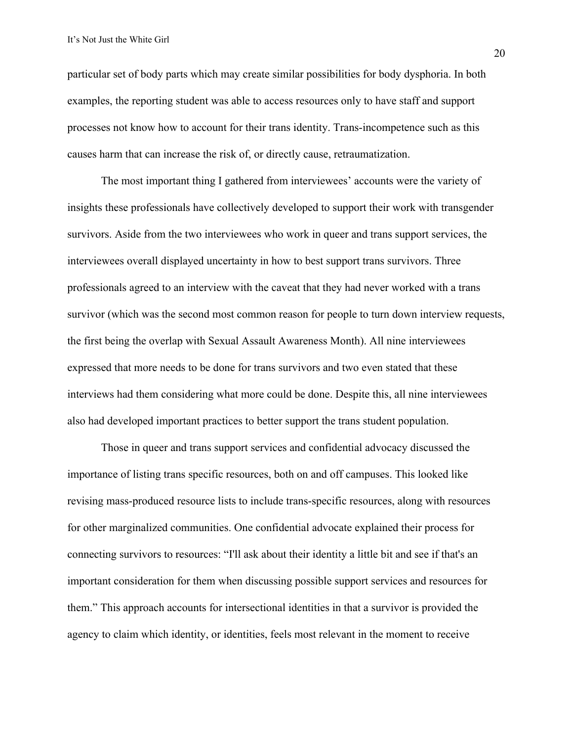particular set of body parts which may create similar possibilities for body dysphoria. In both examples, the reporting student was able to access resources only to have staff and support processes not know how to account for their trans identity. Trans-incompetence such as this causes harm that can increase the risk of, or directly cause, retraumatization.

The most important thing I gathered from interviewees' accounts were the variety of insights these professionals have collectively developed to support their work with transgender survivors. Aside from the two interviewees who work in queer and trans support services, the interviewees overall displayed uncertainty in how to best support trans survivors. Three professionals agreed to an interview with the caveat that they had never worked with a trans survivor (which was the second most common reason for people to turn down interview requests, the first being the overlap with Sexual Assault Awareness Month). All nine interviewees expressed that more needs to be done for trans survivors and two even stated that these interviews had them considering what more could be done. Despite this, all nine interviewees also had developed important practices to better support the trans student population.

Those in queer and trans support services and confidential advocacy discussed the importance of listing trans specific resources, both on and off campuses. This looked like revising mass-produced resource lists to include trans-specific resources, along with resources for other marginalized communities. One confidential advocate explained their process for connecting survivors to resources: "I'll ask about their identity a little bit and see if that's an important consideration for them when discussing possible support services and resources for them." This approach accounts for intersectional identities in that a survivor is provided the agency to claim which identity, or identities, feels most relevant in the moment to receive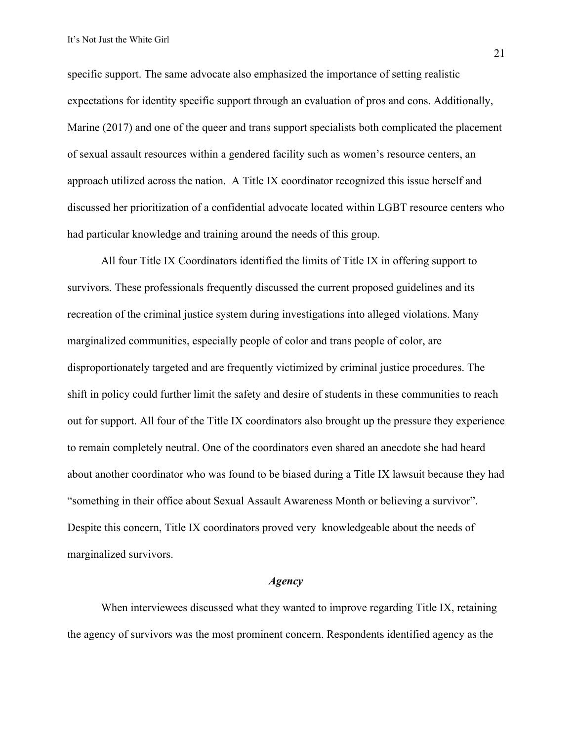specific support. The same advocate also emphasized the importance of setting realistic expectations for identity specific support through an evaluation of pros and cons. Additionally, Marine (2017) and one of the queer and trans support specialists both complicated the placement of sexual assault resources within a gendered facility such as women's resource centers, an approach utilized across the nation. A Title IX coordinator recognized this issue herself and discussed her prioritization of a confidential advocate located within LGBT resource centers who had particular knowledge and training around the needs of this group.

All four Title IX Coordinators identified the limits of Title IX in offering support to survivors. These professionals frequently discussed the current proposed guidelines and its recreation of the criminal justice system during investigations into alleged violations. Many marginalized communities, especially people of color and trans people of color, are disproportionately targeted and are frequently victimized by criminal justice procedures. The shift in policy could further limit the safety and desire of students in these communities to reach out for support. All four of the Title IX coordinators also brought up the pressure they experience to remain completely neutral. One of the coordinators even shared an anecdote she had heard about another coordinator who was found to be biased during a Title IX lawsuit because they had "something in their office about Sexual Assault Awareness Month or believing a survivor". Despite this concern, Title IX coordinators proved very knowledgeable about the needs of marginalized survivors.

#### *Agency*

When interviewees discussed what they wanted to improve regarding Title IX, retaining the agency of survivors was the most prominent concern. Respondents identified agency as the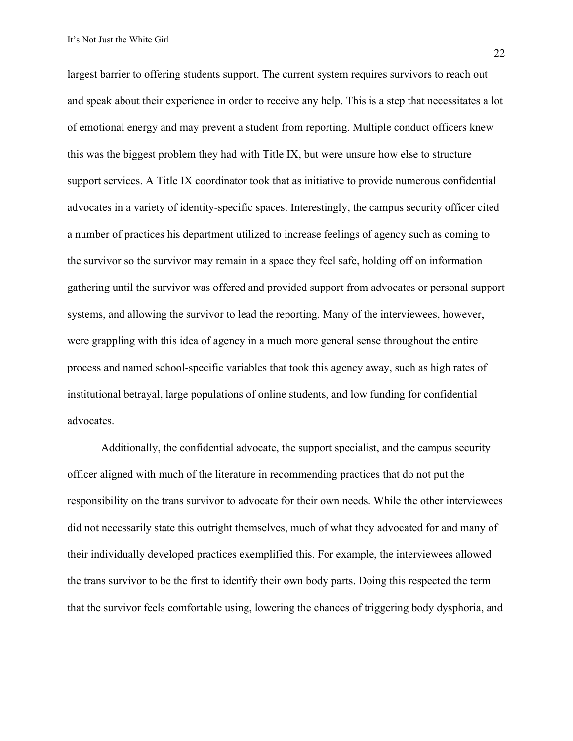largest barrier to offering students support. The current system requires survivors to reach out and speak about their experience in order to receive any help. This is a step that necessitates a lot of emotional energy and may prevent a student from reporting. Multiple conduct officers knew this was the biggest problem they had with Title IX, but were unsure how else to structure support services. A Title IX coordinator took that as initiative to provide numerous confidential advocates in a variety of identity-specific spaces. Interestingly, the campus security officer cited a number of practices his department utilized to increase feelings of agency such as coming to the survivor so the survivor may remain in a space they feel safe, holding off on information gathering until the survivor was offered and provided support from advocates or personal support systems, and allowing the survivor to lead the reporting. Many of the interviewees, however, were grappling with this idea of agency in a much more general sense throughout the entire process and named school-specific variables that took this agency away, such as high rates of institutional betrayal, large populations of online students, and low funding for confidential advocates.

Additionally, the confidential advocate, the support specialist, and the campus security officer aligned with much of the literature in recommending practices that do not put the responsibility on the trans survivor to advocate for their own needs. While the other interviewees did not necessarily state this outright themselves, much of what they advocated for and many of their individually developed practices exemplified this. For example, the interviewees allowed the trans survivor to be the first to identify their own body parts. Doing this respected the term that the survivor feels comfortable using, lowering the chances of triggering body dysphoria, and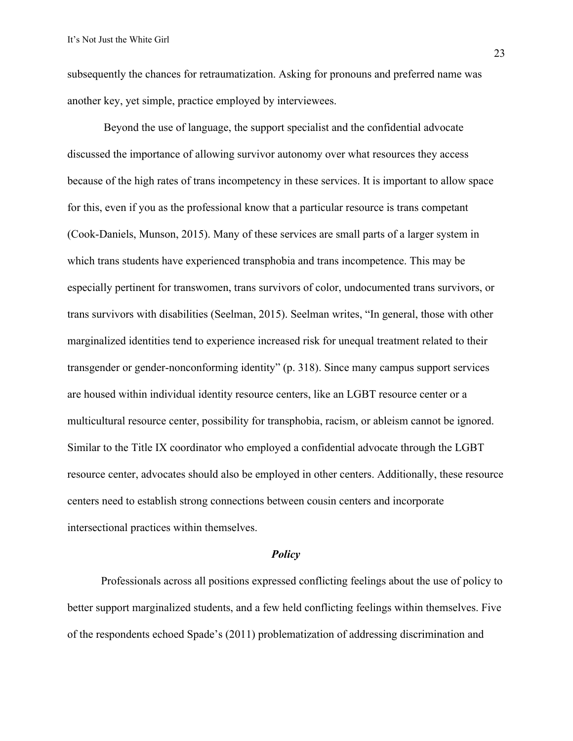subsequently the chances for retraumatization. Asking for pronouns and preferred name was another key, yet simple, practice employed by interviewees.

Beyond the use of language, the support specialist and the confidential advocate discussed the importance of allowing survivor autonomy over what resources they access because of the high rates of trans incompetency in these services. It is important to allow space for this, even if you as the professional know that a particular resource is trans competant (Cook-Daniels, Munson, 2015). Many of these services are small parts of a larger system in which trans students have experienced transphobia and trans incompetence. This may be especially pertinent for transwomen, trans survivors of color, undocumented trans survivors, or trans survivors with disabilities (Seelman, 2015). Seelman writes, "In general, those with other marginalized identities tend to experience increased risk for unequal treatment related to their transgender or gender-nonconforming identity" (p. 318). Since many campus support services are housed within individual identity resource centers, like an LGBT resource center or a multicultural resource center, possibility for transphobia, racism, or ableism cannot be ignored. Similar to the Title IX coordinator who employed a confidential advocate through the LGBT resource center, advocates should also be employed in other centers. Additionally, these resource centers need to establish strong connections between cousin centers and incorporate intersectional practices within themselves.

#### *Policy*

Professionals across all positions expressed conflicting feelings about the use of policy to better support marginalized students, and a few held conflicting feelings within themselves. Five of the respondents echoed Spade's (2011) problematization of addressing discrimination and

23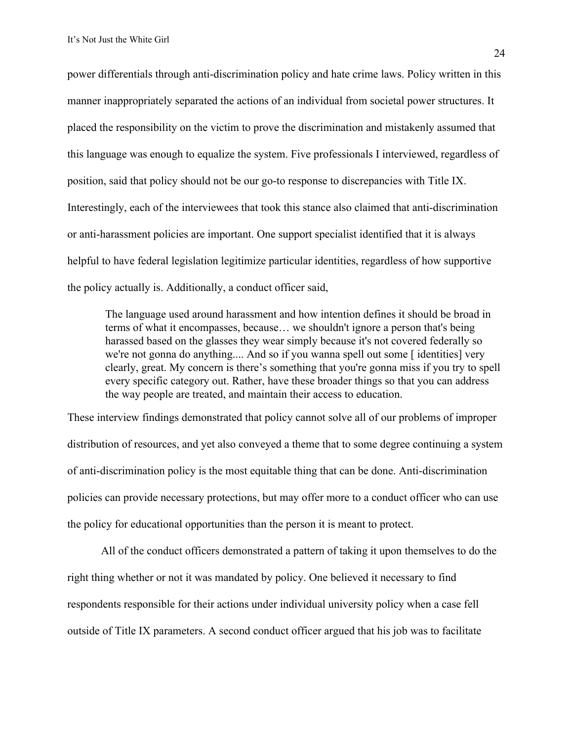power differentials through anti-discrimination policy and hate crime laws. Policy written in this manner inappropriately separated the actions of an individual from societal power structures. It placed the responsibility on the victim to prove the discrimination and mistakenly assumed that this language was enough to equalize the system. Five professionals I interviewed, regardless of position, said that policy should not be our go-to response to discrepancies with Title IX. Interestingly, each of the interviewees that took this stance also claimed that anti-discrimination or anti-harassment policies are important. One support specialist identified that it is always helpful to have federal legislation legitimize particular identities, regardless of how supportive the policy actually is. Additionally, a conduct officer said,

The language used around harassment and how intention defines it should be broad in terms of what it encompasses, because… we shouldn't ignore a person that's being harassed based on the glasses they wear simply because it's not covered federally so we're not gonna do anything.... And so if you wanna spell out some [identities] very clearly, great. My concern is there's something that you're gonna miss if you try to spell every specific category out. Rather, have these broader things so that you can address the way people are treated, and maintain their access to education.

These interview findings demonstrated that policy cannot solve all of our problems of improper distribution of resources, and yet also conveyed a theme that to some degree continuing a system of anti-discrimination policy is the most equitable thing that can be done. Anti-discrimination policies can provide necessary protections, but may offer more to a conduct officer who can use the policy for educational opportunities than the person it is meant to protect.

All of the conduct officers demonstrated a pattern of taking it upon themselves to do the right thing whether or not it was mandated by policy. One believed it necessary to find respondents responsible for their actions under individual university policy when a case fell outside of Title IX parameters. A second conduct officer argued that his job was to facilitate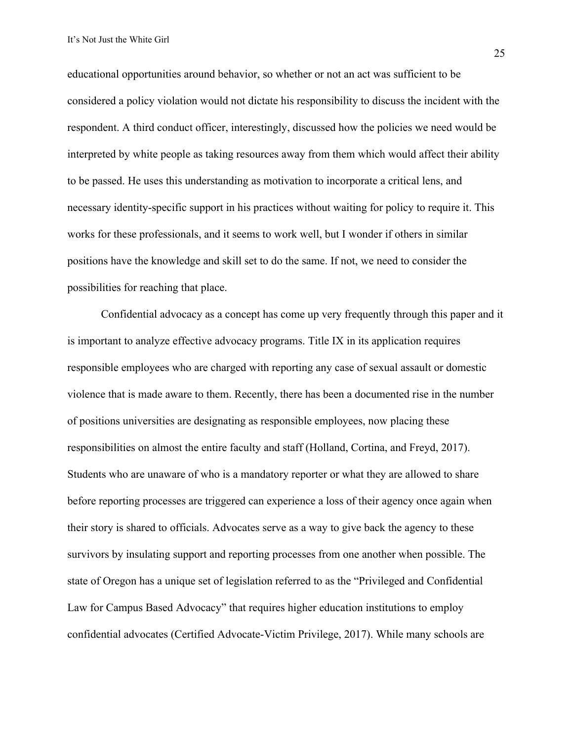educational opportunities around behavior, so whether or not an act was sufficient to be considered a policy violation would not dictate his responsibility to discuss the incident with the respondent. A third conduct officer, interestingly, discussed how the policies we need would be interpreted by white people as taking resources away from them which would affect their ability to be passed. He uses this understanding as motivation to incorporate a critical lens, and necessary identity-specific support in his practices without waiting for policy to require it. This works for these professionals, and it seems to work well, but I wonder if others in similar positions have the knowledge and skill set to do the same. If not, we need to consider the possibilities for reaching that place.

Confidential advocacy as a concept has come up very frequently through this paper and it is important to analyze effective advocacy programs. Title IX in its application requires responsible employees who are charged with reporting any case of sexual assault or domestic violence that is made aware to them. Recently, there has been a documented rise in the number of positions universities are designating as responsible employees, now placing these responsibilities on almost the entire faculty and staff (Holland, Cortina, and Freyd, 2017). Students who are unaware of who is a mandatory reporter or what they are allowed to share before reporting processes are triggered can experience a loss of their agency once again when their story is shared to officials. Advocates serve as a way to give back the agency to these survivors by insulating support and reporting processes from one another when possible. The state of Oregon has a unique set of legislation referred to as the "Privileged and Confidential Law for Campus Based Advocacy" that requires higher education institutions to employ confidential advocates (Certified Advocate-Victim Privilege, 2017). While many schools are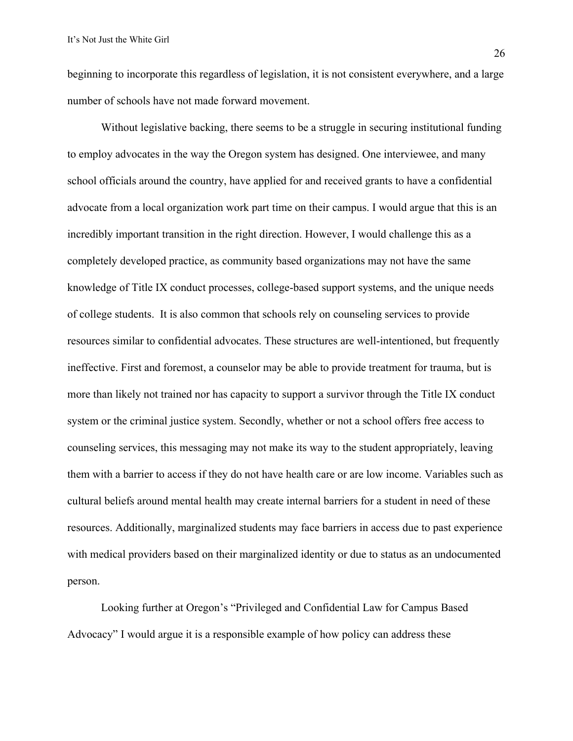beginning to incorporate this regardless of legislation, it is not consistent everywhere, and a large number of schools have not made forward movement.

Without legislative backing, there seems to be a struggle in securing institutional funding to employ advocates in the way the Oregon system has designed. One interviewee, and many school officials around the country, have applied for and received grants to have a confidential advocate from a local organization work part time on their campus. I would argue that this is an incredibly important transition in the right direction. However, I would challenge this as a completely developed practice, as community based organizations may not have the same knowledge of Title IX conduct processes, college-based support systems, and the unique needs of college students. It is also common that schools rely on counseling services to provide resources similar to confidential advocates. These structures are well-intentioned, but frequently ineffective. First and foremost, a counselor may be able to provide treatment for trauma, but is more than likely not trained nor has capacity to support a survivor through the Title IX conduct system or the criminal justice system. Secondly, whether or not a school offers free access to counseling services, this messaging may not make its way to the student appropriately, leaving them with a barrier to access if they do not have health care or are low income. Variables such as cultural beliefs around mental health may create internal barriers for a student in need of these resources. Additionally, marginalized students may face barriers in access due to past experience with medical providers based on their marginalized identity or due to status as an undocumented person.

Looking further at Oregon's "Privileged and Confidential Law for Campus Based Advocacy" I would argue it is a responsible example of how policy can address these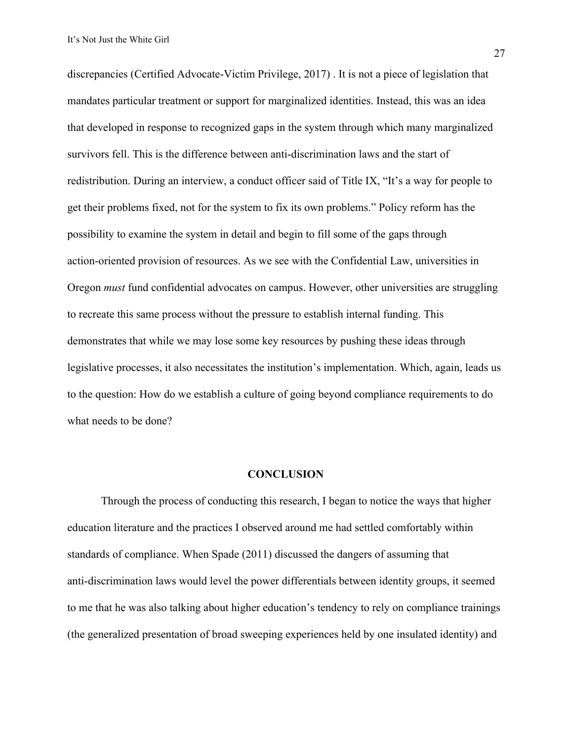discrepancies (Certified Advocate-Victim Privilege, 2017) . It is not a piece of legislation that mandates particular treatment or support for marginalized identities. Instead, this was an idea that developed in response to recognized gaps in the system through which many marginalized survivors fell. This is the difference between anti-discrimination laws and the start of redistribution. During an interview, a conduct officer said of Title IX, "It's a way for people to get their problems fixed, not for the system to fix its own problems." Policy reform has the possibility to examine the system in detail and begin to fill some of the gaps through action-oriented provision of resources. As we see with the Confidential Law, universities in Oregon *must* fund confidential advocates on campus. However, other universities are struggling to recreate this same process without the pressure to establish internal funding. This demonstrates that while we may lose some key resources by pushing these ideas through legislative processes, it also necessitates the institution's implementation. Which, again, leads us to the question: How do we establish a culture of going beyond compliance requirements to do what needs to be done?

#### **CONCLUSION**

Through the process of conducting this research, I began to notice the ways that higher education literature and the practices I observed around me had settled comfortably within standards of compliance. When Spade (2011) discussed the dangers of assuming that anti-discrimination laws would level the power differentials between identity groups, it seemed to me that he was also talking about higher education's tendency to rely on compliance trainings (the generalized presentation of broad sweeping experiences held by one insulated identity) and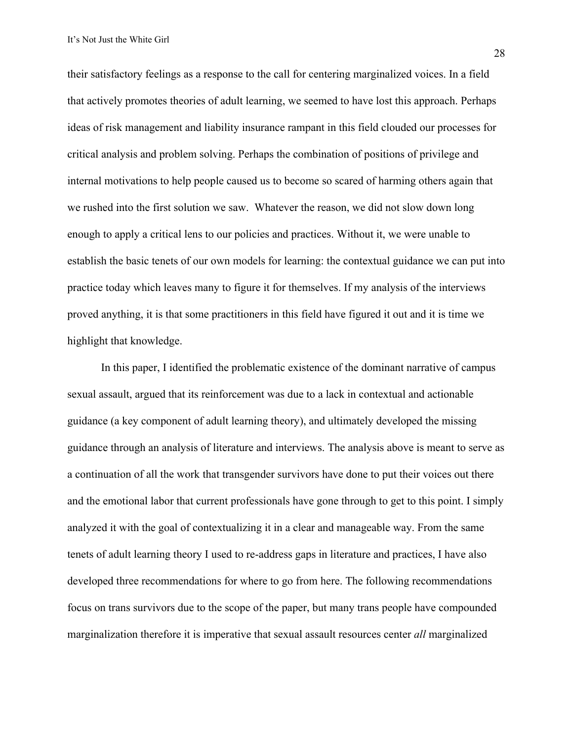their satisfactory feelings as a response to the call for centering marginalized voices. In a field that actively promotes theories of adult learning, we seemed to have lost this approach. Perhaps ideas of risk management and liability insurance rampant in this field clouded our processes for critical analysis and problem solving. Perhaps the combination of positions of privilege and internal motivations to help people caused us to become so scared of harming others again that we rushed into the first solution we saw. Whatever the reason, we did not slow down long enough to apply a critical lens to our policies and practices. Without it, we were unable to establish the basic tenets of our own models for learning: the contextual guidance we can put into practice today which leaves many to figure it for themselves. If my analysis of the interviews proved anything, it is that some practitioners in this field have figured it out and it is time we highlight that knowledge.

In this paper, I identified the problematic existence of the dominant narrative of campus sexual assault, argued that its reinforcement was due to a lack in contextual and actionable guidance (a key component of adult learning theory), and ultimately developed the missing guidance through an analysis of literature and interviews. The analysis above is meant to serve as a continuation of all the work that transgender survivors have done to put their voices out there and the emotional labor that current professionals have gone through to get to this point. I simply analyzed it with the goal of contextualizing it in a clear and manageable way. From the same tenets of adult learning theory I used to re-address gaps in literature and practices, I have also developed three recommendations for where to go from here. The following recommendations focus on trans survivors due to the scope of the paper, but many trans people have compounded marginalization therefore it is imperative that sexual assault resources center *all* marginalized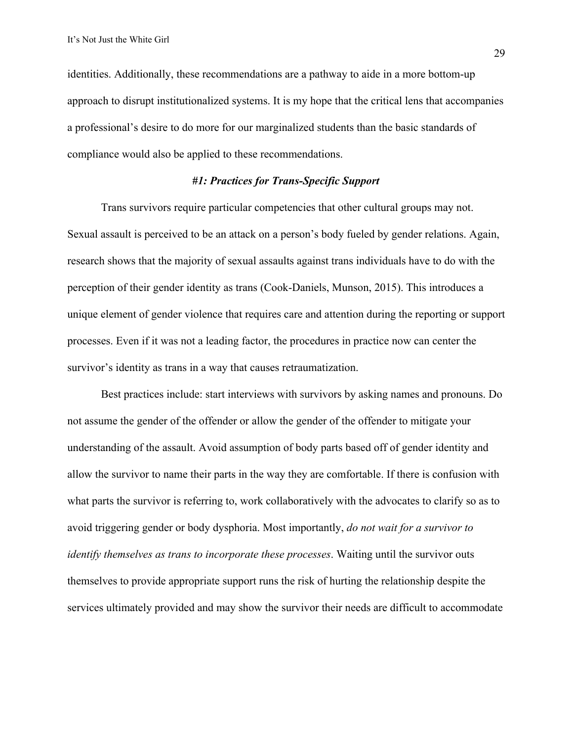identities. Additionally, these recommendations are a pathway to aide in a more bottom-up approach to disrupt institutionalized systems. It is my hope that the critical lens that accompanies a professional's desire to do more for our marginalized students than the basic standards of compliance would also be applied to these recommendations.

#### *#1: Practices for Trans-Specific Support*

Trans survivors require particular competencies that other cultural groups may not. Sexual assault is perceived to be an attack on a person's body fueled by gender relations. Again, research shows that the majority of sexual assaults against trans individuals have to do with the perception of their gender identity as trans (Cook-Daniels, Munson, 2015). This introduces a unique element of gender violence that requires care and attention during the reporting or support processes. Even if it was not a leading factor, the procedures in practice now can center the survivor's identity as trans in a way that causes retraumatization.

Best practices include: start interviews with survivors by asking names and pronouns. Do not assume the gender of the offender or allow the gender of the offender to mitigate your understanding of the assault. Avoid assumption of body parts based off of gender identity and allow the survivor to name their parts in the way they are comfortable. If there is confusion with what parts the survivor is referring to, work collaboratively with the advocates to clarify so as to avoid triggering gender or body dysphoria. Most importantly, *do not wait for a survivor to identify themselves as trans to incorporate these processes*. Waiting until the survivor outs themselves to provide appropriate support runs the risk of hurting the relationship despite the services ultimately provided and may show the survivor their needs are difficult to accommodate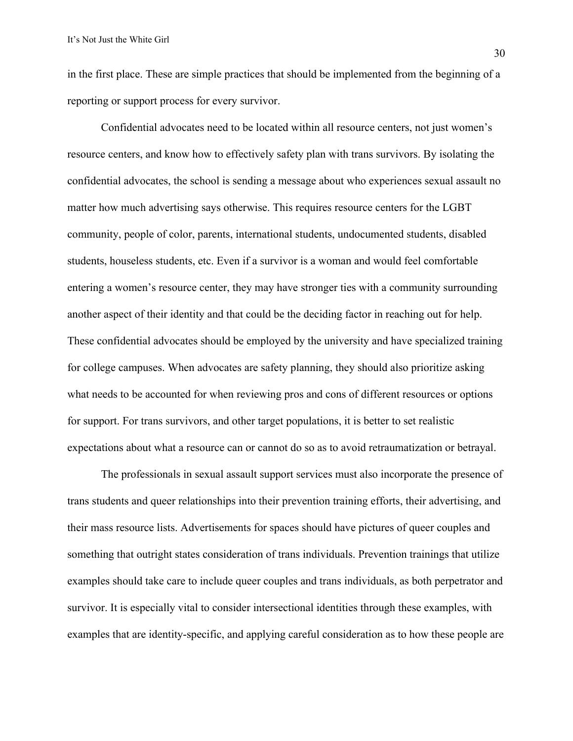in the first place. These are simple practices that should be implemented from the beginning of a reporting or support process for every survivor.

Confidential advocates need to be located within all resource centers, not just women's resource centers, and know how to effectively safety plan with trans survivors. By isolating the confidential advocates, the school is sending a message about who experiences sexual assault no matter how much advertising says otherwise. This requires resource centers for the LGBT community, people of color, parents, international students, undocumented students, disabled students, houseless students, etc. Even if a survivor is a woman and would feel comfortable entering a women's resource center, they may have stronger ties with a community surrounding another aspect of their identity and that could be the deciding factor in reaching out for help. These confidential advocates should be employed by the university and have specialized training for college campuses. When advocates are safety planning, they should also prioritize asking what needs to be accounted for when reviewing pros and cons of different resources or options for support. For trans survivors, and other target populations, it is better to set realistic expectations about what a resource can or cannot do so as to avoid retraumatization or betrayal.

The professionals in sexual assault support services must also incorporate the presence of trans students and queer relationships into their prevention training efforts, their advertising, and their mass resource lists. Advertisements for spaces should have pictures of queer couples and something that outright states consideration of trans individuals. Prevention trainings that utilize examples should take care to include queer couples and trans individuals, as both perpetrator and survivor. It is especially vital to consider intersectional identities through these examples, with examples that are identity-specific, and applying careful consideration as to how these people are

30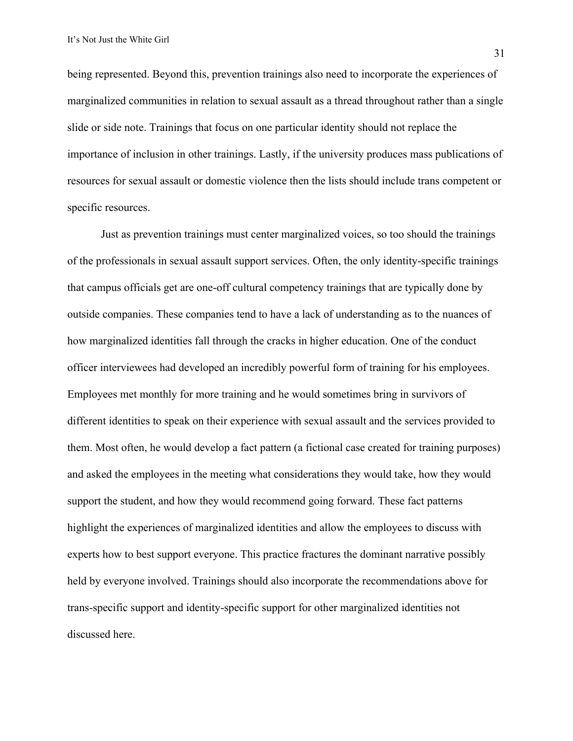being represented. Beyond this, prevention trainings also need to incorporate the experiences of marginalized communities in relation to sexual assault as a thread throughout rather than a single slide or side note. Trainings that focus on one particular identity should not replace the importance of inclusion in other trainings. Lastly, if the university produces mass publications of resources for sexual assault or domestic violence then the lists should include trans competent or specific resources.

Just as prevention trainings must center marginalized voices, so too should the trainings of the professionals in sexual assault support services. Often, the only identity-specific trainings that campus officials get are one-off cultural competency trainings that are typically done by outside companies. These companies tend to have a lack of understanding as to the nuances of how marginalized identities fall through the cracks in higher education. One of the conduct officer interviewees had developed an incredibly powerful form of training for his employees. Employees met monthly for more training and he would sometimes bring in survivors of different identities to speak on their experience with sexual assault and the services provided to them. Most often, he would develop a fact pattern (a fictional case created for training purposes) and asked the employees in the meeting what considerations they would take, how they would support the student, and how they would recommend going forward. These fact patterns highlight the experiences of marginalized identities and allow the employees to discuss with experts how to best support everyone. This practice fractures the dominant narrative possibly held by everyone involved. Trainings should also incorporate the recommendations above for trans-specific support and identity-specific support for other marginalized identities not discussed here.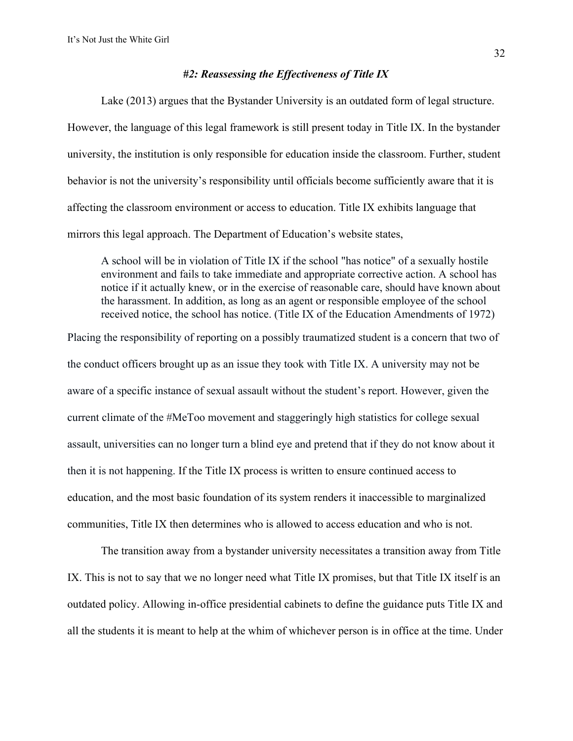#### *#2: Reassessing the Effectiveness of Title IX*

Lake (2013) argues that the Bystander University is an outdated form of legal structure. However, the language of this legal framework is still present today in Title IX. In the bystander university, the institution is only responsible for education inside the classroom. Further, student behavior is not the university's responsibility until officials become sufficiently aware that it is affecting the classroom environment or access to education. Title IX exhibits language that mirrors this legal approach. The Department of Education's website states,

A school will be in violation of Title IX if the school "has notice" of a sexually hostile environment and fails to take immediate and appropriate corrective action. A school has notice if it actually knew, or in the exercise of reasonable care, should have known about the harassment. In addition, as long as an agent or responsible employee of the school received notice, the school has notice. (Title IX of the Education Amendments of 1972)

Placing the responsibility of reporting on a possibly traumatized student is a concern that two of the conduct officers brought up as an issue they took with Title IX. A university may not be aware of a specific instance of sexual assault without the student's report. However, given the current climate of the #MeToo movement and staggeringly high statistics for college sexual assault, universities can no longer turn a blind eye and pretend that if they do not know about it then it is not happening. If the Title IX process is written to ensure continued access to education, and the most basic foundation of its system renders it inaccessible to marginalized communities, Title IX then determines who is allowed to access education and who is not.

The transition away from a bystander university necessitates a transition away from Title IX. This is not to say that we no longer need what Title IX promises, but that Title IX itself is an outdated policy. Allowing in-office presidential cabinets to define the guidance puts Title IX and all the students it is meant to help at the whim of whichever person is in office at the time. Under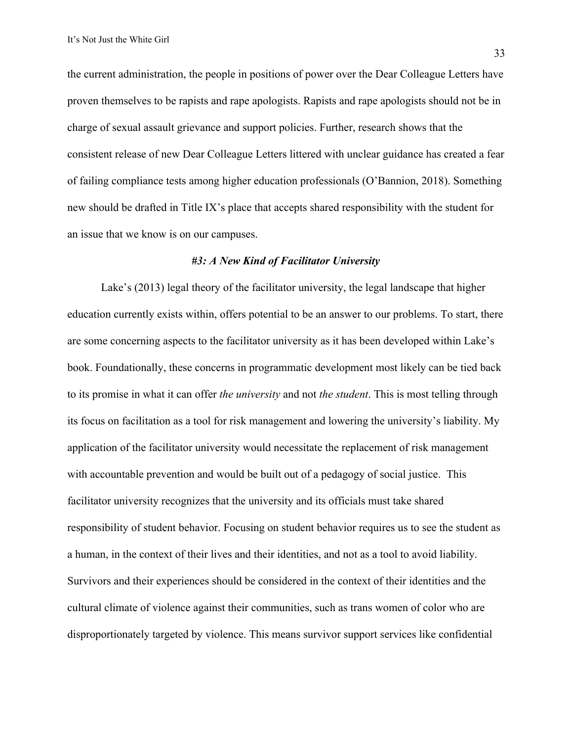the current administration, the people in positions of power over the Dear Colleague Letters have proven themselves to be rapists and rape apologists. Rapists and rape apologists should not be in charge of sexual assault grievance and support policies. Further, research shows that the consistent release of new Dear Colleague Letters littered with unclear guidance has created a fear of failing compliance tests among higher education professionals (O'Bannion, 2018). Something new should be drafted in Title IX's place that accepts shared responsibility with the student for an issue that we know is on our campuses.

#### *#3: A New Kind of Facilitator University*

Lake's (2013) legal theory of the facilitator university, the legal landscape that higher education currently exists within, offers potential to be an answer to our problems. To start, there are some concerning aspects to the facilitator university as it has been developed within Lake's book. Foundationally, these concerns in programmatic development most likely can be tied back to its promise in what it can offer *the university* and not *the student*. This is most telling through its focus on facilitation as a tool for risk management and lowering the university's liability. My application of the facilitator university would necessitate the replacement of risk management with accountable prevention and would be built out of a pedagogy of social justice. This facilitator university recognizes that the university and its officials must take shared responsibility of student behavior. Focusing on student behavior requires us to see the student as a human, in the context of their lives and their identities, and not as a tool to avoid liability. Survivors and their experiences should be considered in the context of their identities and the cultural climate of violence against their communities, such as trans women of color who are disproportionately targeted by violence. This means survivor support services like confidential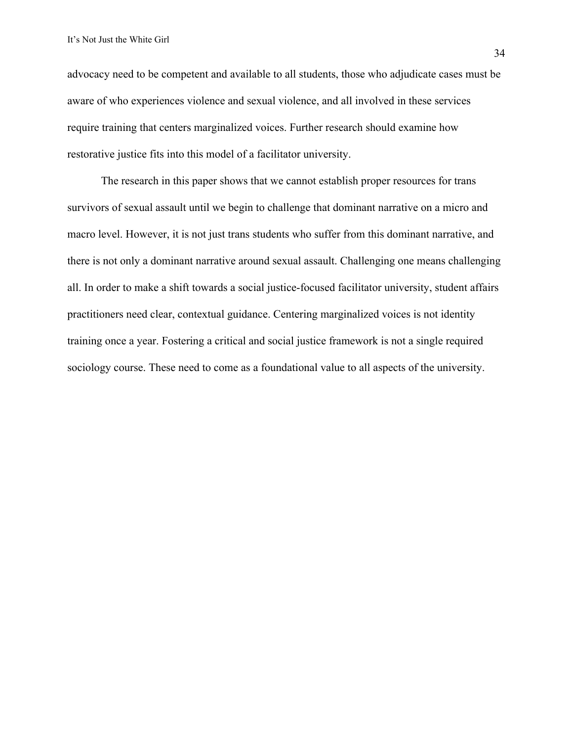advocacy need to be competent and available to all students, those who adjudicate cases must be aware of who experiences violence and sexual violence, and all involved in these services require training that centers marginalized voices. Further research should examine how restorative justice fits into this model of a facilitator university.

The research in this paper shows that we cannot establish proper resources for trans survivors of sexual assault until we begin to challenge that dominant narrative on a micro and macro level. However, it is not just trans students who suffer from this dominant narrative, and there is not only a dominant narrative around sexual assault. Challenging one means challenging all. In order to make a shift towards a social justice-focused facilitator university, student affairs practitioners need clear, contextual guidance. Centering marginalized voices is not identity training once a year. Fostering a critical and social justice framework is not a single required sociology course. These need to come as a foundational value to all aspects of the university.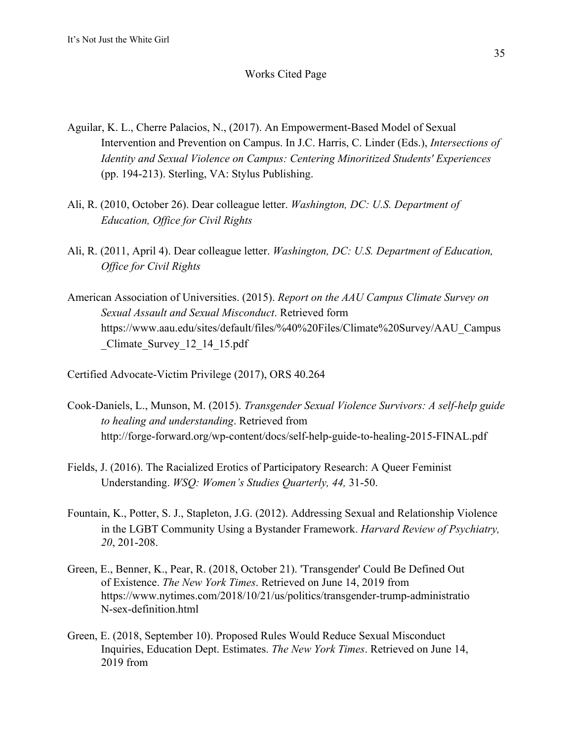### Works Cited Page

- Aguilar, K. L., Cherre Palacios, N., (2017). An Empowerment-Based Model of Sexual Intervention and Prevention on Campus. In J.C. Harris, C. Linder (Eds.), *Intersections of Identity and Sexual Violence on Campus: Centering Minoritized Students' Experiences* (pp. 194-213). Sterling, VA: Stylus Publishing.
- Ali, R. (2010, October 26). Dear colleague letter. *Washington, DC: U.S. Department of Education, Office for Civil Rights*
- Ali, R. (2011, April 4). Dear colleague letter. *Washington, DC: U.S. Department of Education, Office for Civil Rights*
- American Association of Universities. (2015). *Report on the AAU Campus Climate Survey on Sexual Assault and Sexual Misconduct*. Retrieved form https://www.aau.edu/sites/default/files/%40%20Files/Climate%20Survey/AAU\_Campus \_Climate\_Survey\_12\_14\_15.pdf
- Certified Advocate-Victim Privilege (2017), ORS 40.264
- Cook-Daniels, L., Munson, M. (2015). *Transgender Sexual Violence Survivors: A self-help guide to healing and understanding*. Retrieved from http://forge-forward.org/wp-content/docs/self-help-guide-to-healing-2015-FINAL.pdf
- Fields, J. (2016). The Racialized Erotics of Participatory Research: A Queer Feminist Understanding. *WSQ: Women's Studies Quarterly, 44,* 31-50.
- Fountain, K., Potter, S. J., Stapleton, J.G. (2012). Addressing Sexual and Relationship Violence in the LGBT Community Using a Bystander Framework. *Harvard Review of Psychiatry, 20*, 201-208.
- Green, E., Benner, K., Pear, R. (2018, October 21). 'Transgender' Could Be Defined Out of Existence. *The New York Times*. Retrieved on June 14, 2019 from https://www.nytimes.com/2018/10/21/us/politics/transgender-trump-administratio N-sex-definition.html
- Green, E. (2018, September 10). Proposed Rules Would Reduce Sexual Misconduct Inquiries, Education Dept. Estimates. *The New York Times*. Retrieved on June 14, 2019 from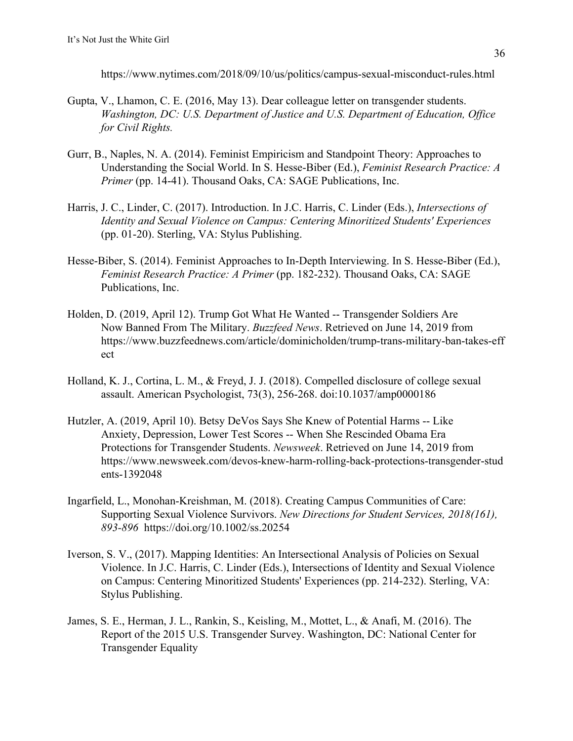https://www.nytimes.com/2018/09/10/us/politics/campus-sexual-misconduct-rules.html

- Gupta, V., Lhamon, C. E. (2016, May 13). Dear colleague letter on transgender students. *Washington, DC: U.S. Department of Justice and U.S. Department of Education, Office for Civil Rights.*
- Gurr, B., Naples, N. A. (2014). Feminist Empiricism and Standpoint Theory: Approaches to Understanding the Social World. In S. Hesse-Biber (Ed.), *Feminist Research Practice: A Primer* (pp. 14-41). Thousand Oaks, CA: SAGE Publications, Inc.
- Harris, J. C., Linder, C. (2017). Introduction. In J.C. Harris, C. Linder (Eds.), *Intersections of Identity and Sexual Violence on Campus: Centering Minoritized Students' Experiences* (pp. 01-20). Sterling, VA: Stylus Publishing.
- Hesse-Biber, S. (2014). Feminist Approaches to In-Depth Interviewing. In S. Hesse-Biber (Ed.), *Feminist Research Practice: A Primer* (pp. 182-232). Thousand Oaks, CA: SAGE Publications, Inc.
- Holden, D. (2019, April 12). Trump Got What He Wanted -- Transgender Soldiers Are Now Banned From The Military. *Buzzfeed News*. Retrieved on June 14, 2019 from https://www.buzzfeednews.com/article/dominicholden/trump-trans-military-ban-takes-eff ect
- Holland, K. J., Cortina, L. M., & Freyd, J. J. (2018). Compelled disclosure of college sexual assault. American Psychologist, 73(3), 256-268. doi:10.1037/amp0000186
- Hutzler, A. (2019, April 10). Betsy DeVos Says She Knew of Potential Harms -- Like Anxiety, Depression, Lower Test Scores -- When She Rescinded Obama Era Protections for Transgender Students. *Newsweek*. Retrieved on June 14, 2019 from https://www.newsweek.com/devos-knew-harm-rolling-back-protections-transgender-stud ents-1392048
- Ingarfield, L., Monohan-Kreishman, M. (2018). Creating Campus Communities of Care: Supporting Sexual Violence Survivors. *New Directions for Student Services, 2018(161), 893-896* https://doi.org/10.1002/ss.20254
- Iverson, S. V., (2017). Mapping Identities: An Intersectional Analysis of Policies on Sexual Violence. In J.C. Harris, C. Linder (Eds.), Intersections of Identity and Sexual Violence on Campus: Centering Minoritized Students' Experiences (pp. 214-232). Sterling, VA: Stylus Publishing.
- James, S. E., Herman, J. L., Rankin, S., Keisling, M., Mottet, L., & Anafi, M. (2016). The Report of the 2015 U.S. Transgender Survey. Washington, DC: National Center for Transgender Equality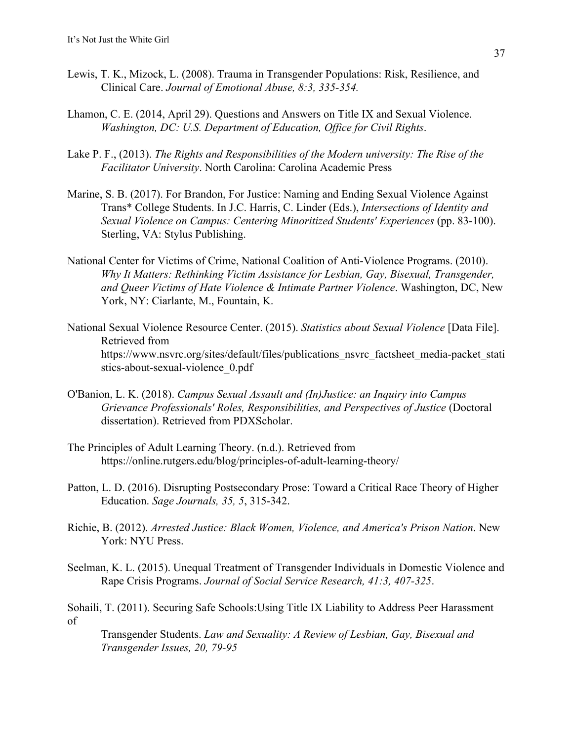- Lewis, T. K., Mizock, L. (2008). Trauma in Transgender Populations: Risk, Resilience, and Clinical Care. *Journal of Emotional Abuse, 8:3, 335-354.*
- Lhamon, C. E. (2014, April 29). Questions and Answers on Title IX and Sexual Violence. *Washington, DC: U.S. Department of Education, Office for Civil Rights*.
- Lake P. F., (2013). *The Rights and Responsibilities of the Modern university: The Rise of the Facilitator University*. North Carolina: Carolina Academic Press
- Marine, S. B. (2017). For Brandon, For Justice: Naming and Ending Sexual Violence Against Trans\* College Students. In J.C. Harris, C. Linder (Eds.), *Intersections of Identity and Sexual Violence on Campus: Centering Minoritized Students' Experiences (pp. 83-100).* Sterling, VA: Stylus Publishing.
- National Center for Victims of Crime, National Coalition of Anti-Violence Programs. (2010). *Why It Matters: Rethinking Victim Assistance for Lesbian, Gay, Bisexual, Transgender, and Queer Victims of Hate Violence & Intimate Partner Violence*. Washington, DC, New York, NY: Ciarlante, M., Fountain, K.
- National Sexual Violence Resource Center. (2015). *Statistics about Sexual Violence* [Data File]. Retrieved from https://www.nsvrc.org/sites/default/files/publications\_nsvrc\_factsheet\_media-packet\_stati stics-about-sexual-violence\_0.pdf
- O'Banion, L. K. (2018). *Campus Sexual Assault and (In)Justice: an Inquiry into Campus Grievance Professionals' Roles, Responsibilities, and Perspectives of Justice* (Doctoral dissertation). Retrieved from PDXScholar.
- The Principles of Adult Learning Theory. (n.d.). Retrieved from https://online.rutgers.edu/blog/principles-of-adult-learning-theory/
- Patton, L. D. (2016). Disrupting Postsecondary Prose: Toward a Critical Race Theory of Higher Education. *Sage Journals, 35, 5*, 315-342.
- Richie, B. (2012). *Arrested Justice: Black Women, Violence, and America's Prison Nation*. New York: NYU Press.
- Seelman, K. L. (2015). Unequal Treatment of Transgender Individuals in Domestic Violence and Rape Crisis Programs. *Journal of Social Service Research, 41:3, 407-325*.

Sohaili, T. (2011). Securing Safe Schools:Using Title IX Liability to Address Peer Harassment of

Transgender Students. *Law and Sexuality: A Review of Lesbian, Gay, Bisexual and Transgender Issues, 20, 79-95*